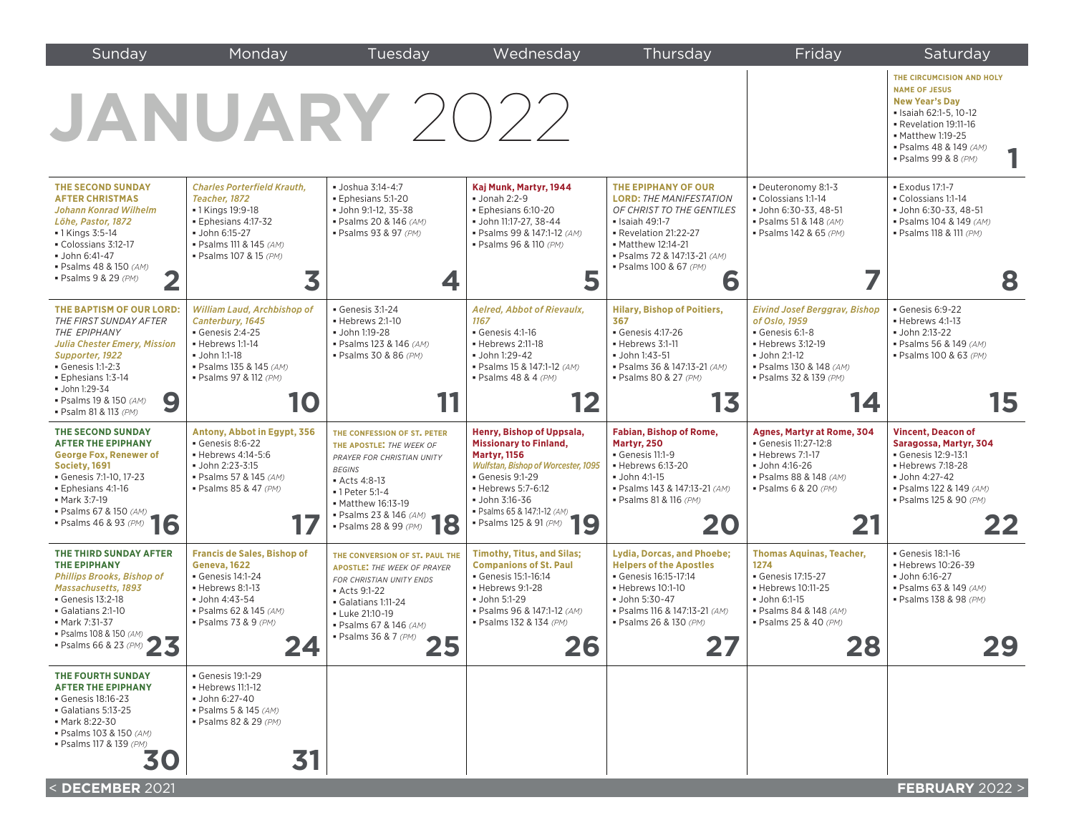| Sunday                                                                                                                                                                                                                                                           | Monday                                                                                                                                                                                  | Tuesday                                                                                                                                                                                                                | Wednesday                                                                                                                                                                                                                                                                      | Thursday                                                                                                                                                                                                          | Friday                                                                                                                                                                  | Saturday                                                                                                                                                                                           |
|------------------------------------------------------------------------------------------------------------------------------------------------------------------------------------------------------------------------------------------------------------------|-----------------------------------------------------------------------------------------------------------------------------------------------------------------------------------------|------------------------------------------------------------------------------------------------------------------------------------------------------------------------------------------------------------------------|--------------------------------------------------------------------------------------------------------------------------------------------------------------------------------------------------------------------------------------------------------------------------------|-------------------------------------------------------------------------------------------------------------------------------------------------------------------------------------------------------------------|-------------------------------------------------------------------------------------------------------------------------------------------------------------------------|----------------------------------------------------------------------------------------------------------------------------------------------------------------------------------------------------|
| <b>JANUARY 2022</b>                                                                                                                                                                                                                                              |                                                                                                                                                                                         |                                                                                                                                                                                                                        |                                                                                                                                                                                                                                                                                |                                                                                                                                                                                                                   |                                                                                                                                                                         | THE CIRCUMCISION AND HOLY<br><b>NAME OF JESUS</b><br><b>New Year's Day</b><br>• Isaiah 62:1-5, 10-12<br>Revelation 19:11-16<br>• Matthew 1:19-25<br>· Psalms 48 & 149 (AM)<br>· Psalms 99 & 8 (PM) |
| <b>THE SECOND SUNDAY</b><br><b>AFTER CHRISTMAS</b><br><b>Johann Konrad Wilhelm</b><br>Löhe, Pastor, 1872<br>• 1 Kings 3:5-14<br>Colossians 3:12-17<br>• John 6:41-47<br>· Psalms 48 & 150 (AM)<br>· Psalms 9 & 29 (PM)                                           | <b>Charles Porterfield Krauth.</b><br>Teacher, 1872<br>• 1 Kings 19:9-18<br>· Ephesians 4:17-32<br>· John 6:15-27<br>· Psalms 111 & 145 (AM)<br>· Psalms 107 & 15 (PM)<br>3             | · Joshua 3:14-4:7<br>Ephesians 5:1-20<br>· John 9:1-12, 35-38<br>· Psalms 20 & 146 (AM)<br>· Psalms 93 & 97 (PM)<br>4                                                                                                  | Kaj Munk, Martyr, 1944<br>$\blacksquare$ Jonah 2:2-9<br>Ephesians 6:10-20<br>· John 11:17-27. 38-44<br>· Psalms 99 & 147:1-12 (AM)<br>· Psalms 96 & 110 (PM)<br>5                                                                                                              | THE EPIPHANY OF OUR<br><b>LORD: THE MANIFESTATION</b><br>OF CHRIST TO THE GENTILES<br>• Isaiah 49:1-7<br>Revelation 21:22-27<br>• Matthew 12:14-21<br>· Psalms 72 & 147:13-21 (AM)<br>· Psalms 100 & 67 (PM)<br>6 | · Deuteronomy 8:1-3<br>Colossians 1:1-14<br>· John 6:30-33, 48-51<br>· Psalms 51 & 148 (AM)<br>· Psalms 142 & 65 (PM)                                                   | <b>Exodus 17:1-7</b><br>Colossians 1:1-14<br>· John 6:30-33, 48-51<br>· Psalms 104 & 149 (AM)<br>• Psalms 118 & 111 (PM)<br>8                                                                      |
| THE BAPTISM OF OUR LORD:<br>THE FIRST SUNDAY AFTER<br>THE EPIPHANY<br><b>Julia Chester Emery, Mission</b><br>Supporter, 1922<br>$\blacktriangle$ Genesis 1:1-2:3<br>· Ephesians 1:3-14<br>· John 1:29-34<br>9<br>· Psalms 19 & 150 (AM)<br>· Psalm 81 & 113 (PM) | William Laud, Archbishop of<br>Canterbury, 1645<br>$\blacktriangleright$ Genesis 2:4-25<br>- Hebrews 1:1-14<br>• John 1:1-18<br>· Psalms 135 & 145 (AM)<br>· Psalms 97 & 112 (PM)<br>10 | Genesis 3:1-24<br>- Hebrews 2:1-10<br>· John 1:19-28<br>· Psalms 123 & 146 (AM)<br>· Psalms 30 & 86 (PM)                                                                                                               | Aelred, Abbot of Rievaulx,<br>1167<br>Genesis 4:1-16<br>- Hebrews 2:11-18<br>· John 1:29-42<br>· Psalms 15 & 147:1-12 (AM)<br>$\bullet$ Psalms 48 & 4 (PM)<br>12                                                                                                               | <b>Hilary, Bishop of Poitiers,</b><br>367<br>Genesis 4:17-26<br>- Hebrews 3:1-11<br>• John 1:43-51<br>· Psalms 36 & 147:13-21 (AM)<br>· Psalms 80 & 27 (PM)<br>13                                                 | <b>Eivind Josef Berggrav, Bishop</b><br>of Oslo, 1959<br>Genesis 6:1-8<br>· Hebrews 3:12-19<br>• John 2:1-12<br>· Psalms 130 & 148 (AM)<br>· Psalms 32 & 139 (PM)<br>14 | Genesis 6:9-22<br>Hebrews 4:1-13<br>• John 2:13-22<br>· Psalms 56 & 149 (AM)<br>· Psalms 100 & 63 (PM)<br>15                                                                                       |
| THE SECOND SUNDAY<br><b>AFTER THE EPIPHANY</b><br><b>George Fox, Renewer of</b><br>Society, 1691<br>Genesis 7:1-10, 17-23<br>Ephesians 4:1-16<br>• Mark 3:7-19<br>• Psalms 67 & 150 (AM)<br>• Psalms 46 & 93 (PM) 16                                             | Antony, Abbot in Egypt, 356<br>$-$ Genesis 8:6-22<br>• Hebrews 4:14-5:6<br>• John 2:23-3:15<br>· Psalms 57 & 145 (AM)<br>· Psalms 85 & 47 (PM)                                          | THE CONFESSION OF ST. PETER<br>THE APOSTLE: THE WEEK OF<br>PRAYER FOR CHRISTIAN UNITY<br><b>BEGINS</b><br>Acts 4:8-13<br>•1 Peter 5:1-4<br>• Matthew 10.13 12<br>• Psalms 23 & 146 (AM)<br>• 20 & 99 (PM)              | Henry, Bishop of Uppsala,<br><b>Missionary to Finland,</b><br><b>Martyr, 1156</b><br><b>Wulfstan, Bishop of Worcester, 1095</b><br>$\blacktriangleright$ Genesis 9:1-29<br>- Hebrews 5:7-6:12<br>• John 3:16-36<br>• Psalms 65 & 147:1-12 (AM)<br>19<br>· Psalms 125 & 91 (PM) | Fabian, Bishop of Rome,<br>Martyr, 250<br>Genesis 11:1-9<br>• Hebrews 6:13-20<br>· John 4:1-15<br>· Psalms 143 & 147:13-21 (AM)<br>· Psalms 81 & 116 (PM)<br>20                                                   | Agnes, Martyr at Rome, 304<br>Genesis 11:27-12:8<br>- Hebrews 7:1-17<br>• John 4:16-26<br>· Psalms 88 & 148 (AM)<br>· Psalms 6 & 20 (PM)<br>21                          | <b>Vincent, Deacon of</b><br>Saragossa, Martyr, 304<br>Genesis 12:9-13:1<br>- Hebrews 7:18-28<br>· John 4:27-42<br>· Psalms 122 & 149 (AM)<br>· Psalms 125 & 90 (PM)<br>22                         |
| THE THIRD SUNDAY AFTER<br><b>THE EPIPHANY</b><br><b>Phillips Brooks, Bishop of</b><br><b>Massachusetts, 1893</b><br>Genesis 13:2-18<br>Galatians 2:1-10<br>• Mark 7:31-37<br>• Psalms 108 & 150 (AM)<br>• Psalms 66 & 23 (PM)<br>$\overline{\textbf{z}}$<br>4 J  | <b>Francis de Sales, Bishop of</b><br><b>Geneva, 1622</b><br>Genesis 14:1-24<br>Hebrews 8:1-13<br>· John 4:43-54<br>· Psalms 62 & 145 (AM)<br>· Psalms 73 & 9 (PM)<br>∠−г               | THE CONVERSION OF ST. PAUL THE<br><b>APOSTLE: THE WEEK OF PRAYER</b><br>FOR CHRISTIAN UNITY ENDS<br>Acts 9:1-22<br>Galatians 1:11-24<br>- Luke 21:10-19<br>· Psalms 67 & 146 (AM)<br>• Psalms 36 & 7 (PM)<br>つら<br>4 J | <b>Timothy, Titus, and Silas;</b><br><b>Companions of St. Paul</b><br>Genesis 15:1-16:14<br>Hebrews 9:1-28<br>• John 5:1-29<br>· Psalms 96 & 147:1-12 (AM)<br>· Psalms 132 & 134 (PM)<br>26                                                                                    | <b>Lydia, Dorcas, and Phoebe;</b><br><b>Helpers of the Apostles</b><br>Genesis 16:15-17:14<br>Hebrews 10:1-10<br>· John 5:30-47<br>· Psalms 116 & 147:13-21 (AM)<br>· Psalms 26 & 130 (PM)<br>47 A                | <b>Thomas Aquinas, Teacher,</b><br>1274<br>Genesis 17:15-27<br>· Hebrews 10:11-25<br>• John 6:1-15<br>· Psalms 84 & 148 (AM)<br>· Psalms 25 & 40 (PM)<br>10<br>4V       | Genesis 18:1-16<br>· Hebrews 10:26-39<br>John 6:16-27<br>· Psalms 63 & 149 (AM)<br>· Psalms 138 & 98 (PM)<br>29<br>▃◡                                                                              |
| THE FOURTH SUNDAY<br><b>AFTER THE EPIPHANY</b><br>Genesis 18:16-23<br>Galatians 5:13-25<br>• Mark 8:22-30<br>· Psalms 103 & 150 (AM)<br>· Psalms 117 & 139 (PM)<br>30<br>< DECEMBER 2021                                                                         | Genesis 19:1-29<br>• Hebrews 11:1-12<br>· John 6:27-40<br>· Psalms 5 & 145 (AM)<br>· Psalms 82 & 29 (PM)<br>31                                                                          |                                                                                                                                                                                                                        |                                                                                                                                                                                                                                                                                |                                                                                                                                                                                                                   |                                                                                                                                                                         | FEBRUARY 2022 >                                                                                                                                                                                    |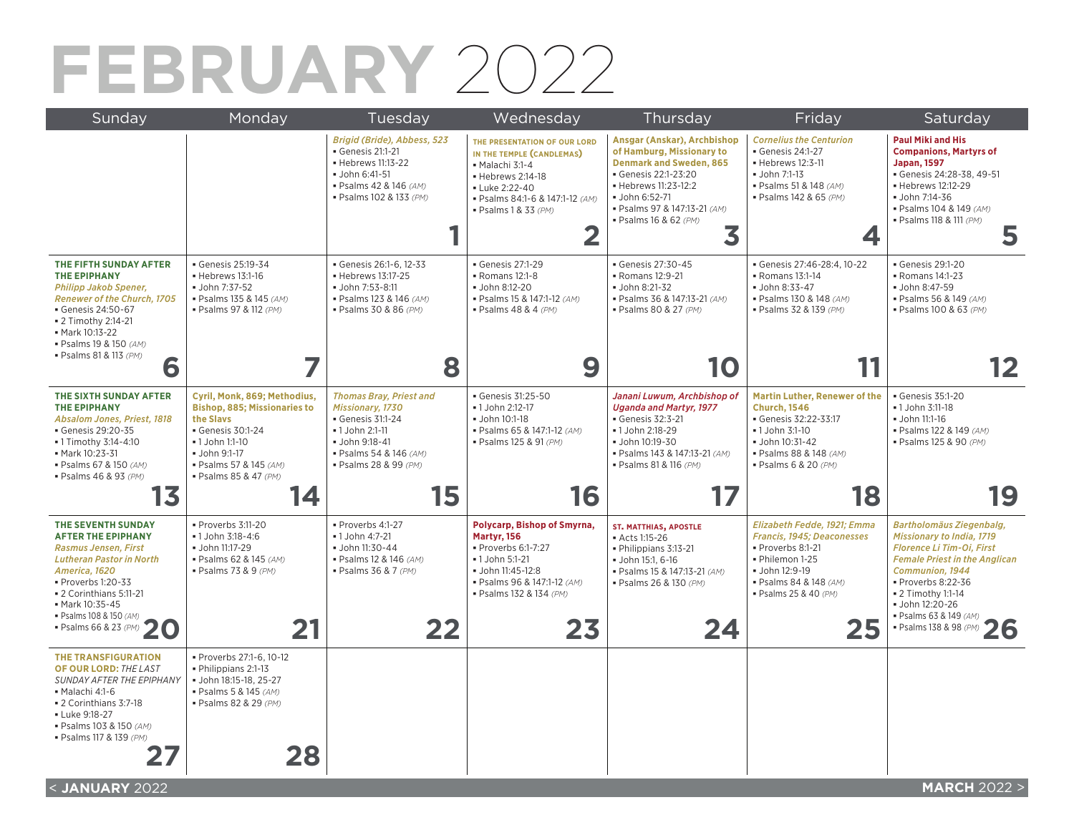# **FEBRUARY** 2022

| Sunday                                                                                                                                                                                                                                          | Monday                                                                                                                                                                                   | Tuesday                                                                                                                                                       | Wednesday                                                                                                                                                                                | Thursday                                                                                                                                                                                                                 | Friday                                                                                                                                                                     | Saturday                                                                                                                                                                                                                                           |
|-------------------------------------------------------------------------------------------------------------------------------------------------------------------------------------------------------------------------------------------------|------------------------------------------------------------------------------------------------------------------------------------------------------------------------------------------|---------------------------------------------------------------------------------------------------------------------------------------------------------------|------------------------------------------------------------------------------------------------------------------------------------------------------------------------------------------|--------------------------------------------------------------------------------------------------------------------------------------------------------------------------------------------------------------------------|----------------------------------------------------------------------------------------------------------------------------------------------------------------------------|----------------------------------------------------------------------------------------------------------------------------------------------------------------------------------------------------------------------------------------------------|
|                                                                                                                                                                                                                                                 |                                                                                                                                                                                          | Brigid (Bride), Abbess, 523<br>Genesis 21:1-21<br>- Hebrews 11:13-22<br>· John 6:41-51<br>· Psalms 42 & 146 (AM)<br>· Psalms 102 & 133 (PM)                   | THE PRESENTATION OF OUR LORD<br>IN THE TEMPLE (CANDLEMAS)<br>Malachi 3:1-4<br>· Hebrews 2:14-18<br><b>- Luke 2:22-40</b><br>· Psalms 84:1-6 & 147:1-12 (AM)<br>· Psalms 1 & 33 (PM)<br>2 | Ansgar (Anskar), Archbishop<br>of Hamburg, Missionary to<br><b>Denmark and Sweden, 865</b><br>Genesis 22:1-23:20<br>- Hebrews 11:23-12:2<br>• John 6:52-71<br>· Psalms 97 & 147:13-21 (AM)<br>· Psalms 16 & 62 (PM)<br>3 | <b>Cornelius the Centurion</b><br>Genesis 24:1-27<br>· Hebrews 12:3-11<br>· John 7:1-13<br>· Psalms 51 & 148 (AM)<br>· Psalms 142 & 65 (PM)<br>4                           | <b>Paul Miki and His</b><br><b>Companions, Martyrs of</b><br><b>Japan, 1597</b><br>Genesis 24:28-38, 49-51<br>- Hebrews 12:12-29<br>· John 7:14-36<br>· Psalms 104 & 149 (AM)<br>· Psalms 118 & 111 (PM)<br>5                                      |
| THE FIFTH SUNDAY AFTER<br><b>THE EPIPHANY</b><br><b>Philipp Jakob Spener,</b><br><b>Renewer of the Church, 1705</b><br>Genesis 24:50-67<br><b>2</b> Timothy 2:14-21<br>• Mark 10:13-22<br>· Psalms 19 & 150 (AM)<br>· Psalms 81 & 113 (PM)<br>6 | Genesis 25:19-34<br>• Hebrews 13:1-16<br>John 7:37-52<br>· Psalms 135 & 145 (AM)<br>· Psalms 97 & 112 (PM)<br>7                                                                          | Genesis 26:1-6, 12-33<br>- Hebrews 13:17-25<br>· John 7:53-8:11<br>· Psalms 123 & 146 (AM)<br>· Psalms 30 & 86 (PM)<br>8                                      | Genesis 27:1-29<br>- Romans 12:1-8<br>· John 8:12-20<br>· Psalms 15 & 147:1-12 (AM)<br>$\bullet$ Psalms 48 & 4 (PM)<br>9                                                                 | Genesis 27:30-45<br>- Romans 12:9-21<br>· John 8:21-32<br>· Psalms 36 & 147:13-21 (AM)<br>· Psalms 80 & 27 (PM)<br>10                                                                                                    | Genesis 27:46-28:4, 10-22<br>- Romans 13:1-14<br>· John 8:33-47<br>· Psalms 130 & 148 (AM)<br>· Psalms 32 & 139 (PM)                                                       | Genesis 29:1-20<br>• Romans 14:1-23<br>· John 8:47-59<br>· Psalms 56 & 149 (AM)<br>· Psalms 100 & 63 (PM)<br><u> 2</u>                                                                                                                             |
| THE SIXTH SUNDAY AFTER<br><b>THE EPIPHANY</b><br>Absalom Jones, Priest, 1818<br>Genesis 29:20-35<br>- 1 Timothy 3:14-4:10<br>• Mark 10:23-31<br>· Psalms 67 & 150 (AM)<br>· Psalms 46 & 93 (PM)                                                 | Cyril, Monk, 869; Methodius,<br><b>Bishop, 885; Missionaries to</b><br>the Slavs<br>Genesis 30:1-24<br>• 1 John 1:1-10<br>John 9:1-17<br>· Psalms 57 & 145 (AM)<br>· Psalms 85 & 47 (PM) | <b>Thomas Bray, Priest and</b><br>Missionary, 1730<br>Genesis 31:1-24<br>- 1 John 2:1-11<br>· John 9:18-41<br>· Psalms 54 & 146 (AM)<br>· Psalms 28 & 99 (PM) | Genesis 31:25-50<br>- 1 John 2:12-17<br>John 10:1-18<br>· Psalms 65 & 147:1-12 (AM)<br>· Psalms 125 & 91 (PM)                                                                            | Janani Luwum, Archbishop of<br><b>Uganda and Martyr, 1977</b><br>Genesis 32:3-21<br>· 1 John 2:18-29<br>· John 10:19-30<br>· Psalms 143 & 147:13-21 (AM)<br>· Psalms 81 & 116 (PM)                                       | <b>Martin Luther, Renewer of the</b><br><b>Church, 1546</b><br>Genesis 32:22-33:17<br>• 1 John 3:1-10<br>· John 10:31-42<br>· Psalms 88 & 148 (AM)<br>· Psalms 6 & 20 (PM) | Genesis 35:1-20<br>· 1 John 3:11-18<br>· John 11:1-16<br>· Psalms 122 & 149 (AM)<br>· Psalms 125 & 90 (PM)                                                                                                                                         |
| 13                                                                                                                                                                                                                                              | 14                                                                                                                                                                                       | 15                                                                                                                                                            | 16                                                                                                                                                                                       | 17                                                                                                                                                                                                                       | 18                                                                                                                                                                         | 19                                                                                                                                                                                                                                                 |
| THE SEVENTH SUNDAY<br><b>AFTER THE EPIPHANY</b><br><b>Rasmus Jensen, First</b><br><b>Lutheran Pastor in North</b><br>America, 1620<br>Proverbs 1:20-33<br>• 2 Corinthians 5:11-21<br>• Mark 10:35-45<br>· Psalms 108 & 150 (AM)                 | Proverbs 3:11-20<br>• 1 John 3:18-4:6<br>· John 11:17-29<br>· Psalms 62 & 145 (AM)<br>· Psalms 73 & 9 (PM)                                                                               | Proverbs 4:1-27<br>• 1 John 4:7-21<br>· John 11:30-44<br>· Psalms 12 & 146 (AM)<br>· Psalms 36 & 7 (PM)                                                       | Polycarp, Bishop of Smyrna,<br>Martyr, 156<br>Proverbs 6:1-7:27<br>•1 John 5:1-21<br>· John 11:45-12:8<br>· Psalms 96 & 147:1-12 (AM)<br>· Psalms 132 & 134 (PM)                         | <b>ST. MATTHIAS, APOSTLE</b><br>Acts 1:15-26<br>· Philippians 3:13-21<br>· John 15:1, 6-16<br>· Psalms 15 & 147:13-21 (AM)<br>· Psalms 26 & 130 (PM)                                                                     | Elizabeth Fedde, 1921; Emma<br>Francis, 1945; Deaconesses<br>Proverbs 8:1-21<br>· Philemon 1-25<br>· John 12:9-19<br>· Psalms 84 & 148 (AM)<br>· Psalms 25 & 40 (PM)       | Bartholomäus Ziegenbalg,<br><b>Missionary to India, 1719</b><br><b>Florence Li Tim-Oi, First</b><br><b>Female Priest in the Anglican</b><br>Communion, 1944<br>Proverbs 8:22-36<br>• 2 Timothy 1:1-14<br>· John 12:20-26<br>· Psalms 63 & 149 (AM) |
| · Psalms 66 & 23 (PM)                                                                                                                                                                                                                           | 21                                                                                                                                                                                       | 22                                                                                                                                                            | 23                                                                                                                                                                                       | 24                                                                                                                                                                                                                       | 25                                                                                                                                                                         | · Psalms 138 & 98 (PM)<br>26                                                                                                                                                                                                                       |
| <b>THE TRANSFIGURATION</b><br>OF OUR LORD: THE LAST<br>SUNDAY AFTER THE EPIPHANY<br>Malachi 4:1-6<br>• 2 Corinthians 3:7-18<br>- Luke 9:18-27<br>· Psalms 103 & 150 (AM)<br>· Psalms 117 & 139 (PM)                                             | · Proverbs 27:1-6, 10-12<br>· Philippians 2:1-13<br>· John 18:15-18, 25-27<br>· Psalms 5 & 145 (AM)<br>· Psalms 82 & 29 (PM)<br>28                                                       |                                                                                                                                                               |                                                                                                                                                                                          |                                                                                                                                                                                                                          |                                                                                                                                                                            |                                                                                                                                                                                                                                                    |
| $2.1$ ANILIA DV 2022                                                                                                                                                                                                                            |                                                                                                                                                                                          |                                                                                                                                                               |                                                                                                                                                                                          |                                                                                                                                                                                                                          |                                                                                                                                                                            | MADCH $20225$                                                                                                                                                                                                                                      |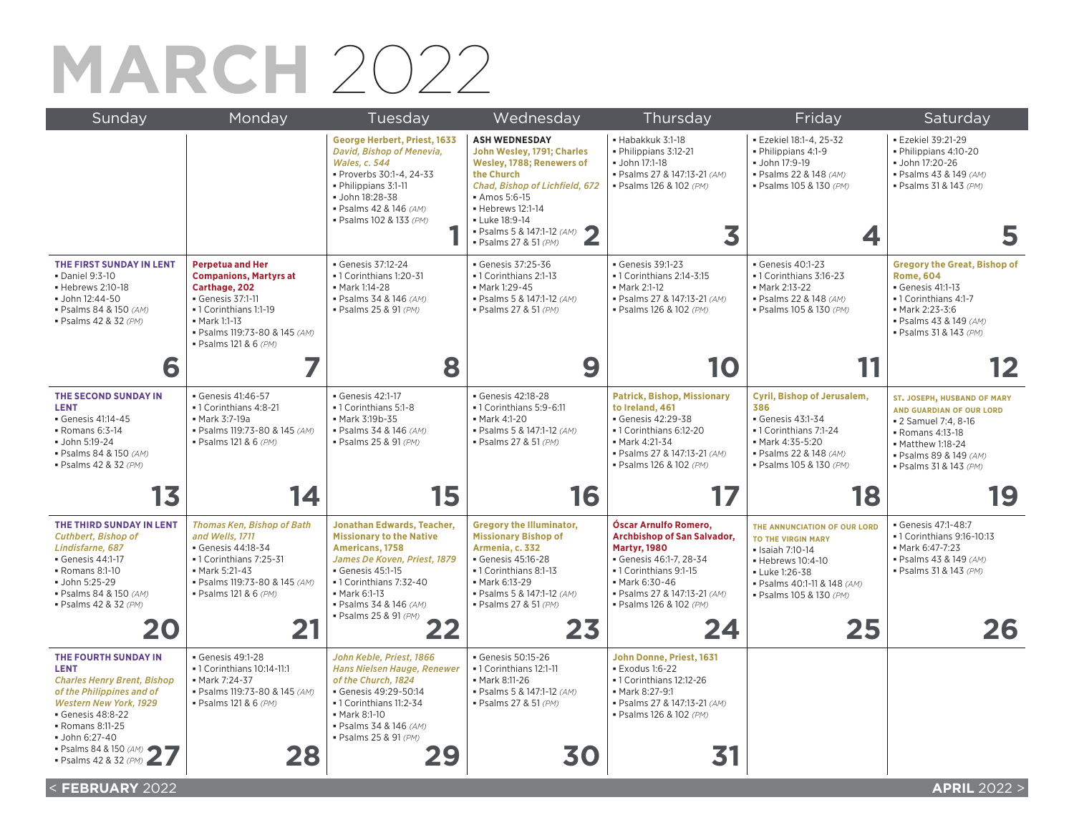## **MARCH** 2022

| Sunday                                                                                                                                                                                                                                                | Monday                                                                                                                                                                                           | Tuesday                                                                                                                                                                                                                                  | Wednesday                                                                                                                                                                                                                                        | Thursday                                                                                                                                                                                                   | Friday                                                                                                                                                                | Saturday                                                                                                                                                                     |
|-------------------------------------------------------------------------------------------------------------------------------------------------------------------------------------------------------------------------------------------------------|--------------------------------------------------------------------------------------------------------------------------------------------------------------------------------------------------|------------------------------------------------------------------------------------------------------------------------------------------------------------------------------------------------------------------------------------------|--------------------------------------------------------------------------------------------------------------------------------------------------------------------------------------------------------------------------------------------------|------------------------------------------------------------------------------------------------------------------------------------------------------------------------------------------------------------|-----------------------------------------------------------------------------------------------------------------------------------------------------------------------|------------------------------------------------------------------------------------------------------------------------------------------------------------------------------|
|                                                                                                                                                                                                                                                       |                                                                                                                                                                                                  | George Herbert, Priest, 1633<br>David, Bishop of Menevia,<br><b>Wales, c. 544</b><br>· Proverbs 30:1-4, 24-33<br>· Philippians 3:1-11<br>· John 18:28-38<br>· Psalms 42 & 146 (AM)<br>· Psalms 102 & 133 (PM)                            | <b>ASH WEDNESDAY</b><br>John Wesley, 1791; Charles<br>Wesley, 1788; Renewers of<br>the Church<br>Chad, Bishop of Lichfield, 672<br>• Amos 5:6-15<br>• Hebrews 12:1-14<br>- Luke 18:9-14<br>• Psalms 5 & 147:1-12 (AM) 2<br>· Psalms 27 & 51 (PM) | · Habakkuk 3:1-18<br>· Philippians 3:12-21<br><b>John 17:1-18</b><br>· Psalms 27 & 147:13-21 (AM)<br>· Psalms 126 & 102 (PM)<br>3                                                                          | · Ezekiel 18:1-4, 25-32<br>· Philippians 4:1-9<br>· John 17:9-19<br>· Psalms 22 & 148 (AM)<br>· Psalms 105 & 130 (PM)                                                 | · Ezekiel 39:21-29<br>· Philippians 4:10-20<br>· John 17:20-26<br>· Psalms 43 & 149 (AM)<br>· Psalms 31 & 143 (PM)                                                           |
| THE FIRST SUNDAY IN LENT<br>· Daniel 9:3-10<br>• Hebrews 2:10-18<br>$\bullet$ John 12:44-50<br>· Psalms 84 & 150 (AM)<br>· Psalms 42 & 32 (PM)                                                                                                        | <b>Perpetua and Her</b><br><b>Companions, Martyrs at</b><br>Carthage, 202<br>Genesis 37:1-11<br>-1 Corinthians 1:1-19<br>• Mark 1:1-13<br>· Psalms 119:73-80 & 145 (AM)<br>· Psalms 121 & 6 (PM) | Genesis 37:12-24<br>• 1 Corinthians 1:20-31<br>· Mark 1:14-28<br>· Psalms 34 & 146 (AM)<br>· Psalms 25 & 91 (PM)                                                                                                                         | Genesis 37:25-36<br>• 1 Corinthians 2:1-13<br>· Mark 1:29-45<br>· Psalms 5 & 147:1-12 (AM)<br>· Psalms 27 & 51 (PM)                                                                                                                              | Genesis 39:1-23<br>• 1 Corinthians 2:14-3:15<br>• Mark 2:1-12<br>· Psalms 27 & 147:13-21 (AM)<br>· Psalms 126 & 102 (PM)                                                                                   | Genesis 40:1-23<br>-1 Corinthians 3:16-23<br>• Mark 2:13-22<br>· Psalms 22 & 148 (AM)<br>· Psalms 105 & 130 (PM)                                                      | <b>Gregory the Great, Bishop of</b><br><b>Rome, 604</b><br>· Genesis 41:1-13<br>• 1 Corinthians 4:1-7<br>Mark 2:23-3:6<br>· Psalms 43 & 149 (AM)<br>· Psalms 31 & 143 (PM)   |
| 6                                                                                                                                                                                                                                                     |                                                                                                                                                                                                  | 8                                                                                                                                                                                                                                        | 9                                                                                                                                                                                                                                                | 10                                                                                                                                                                                                         |                                                                                                                                                                       |                                                                                                                                                                              |
| THE SECOND SUNDAY IN<br><b>LENT</b><br>Genesis 41:14-45<br>$\blacksquare$ Romans 6:3-14<br>· John 5:19-24<br>· Psalms 84 & 150 (AM)<br>· Psalms 42 & 32 (PM)                                                                                          | Genesis 41:46-57<br>-1 Corinthians 4:8-21<br>• Mark 3:7-19a<br>· Psalms 119:73-80 & 145 (AM)<br>· Psalms 121 & 6 (PM)                                                                            | Genesis 42:1-17<br>-1 Corinthians 5:1-8<br>• Mark 3:19b-35<br>· Psalms 34 & 146 (AM)<br>· Psalms 25 & 91 (PM)                                                                                                                            | Genesis 42:18-28<br>-1 Corinthians 5:9-6:11<br>• Mark 4:1-20<br>· Psalms 5 & 147:1-12 (AM)<br>· Psalms 27 & 51 (PM)                                                                                                                              | <b>Patrick, Bishop, Missionary</b><br>to Ireland, 461<br>Genesis 42:29-38<br>-1 Corinthians 6:12-20<br>• Mark 4:21-34<br>· Psalms 27 & 147:13-21 (AM)<br>· Psalms 126 & 102 (PM)                           | Cyril, Bishop of Jerusalem,<br>386<br>Genesis 43:1-34<br>-1 Corinthians 7:1-24<br>• Mark 4:35-5:20<br>· Psalms 22 & 148 (AM)<br>· Psalms 105 & 130 (PM)               | ST. JOSEPH, HUSBAND OF MARY<br>AND GUARDIAN OF OUR LORD<br>• 2 Samuel 7:4, 8-16<br>- Romans 4:13-18<br>• Matthew 1:18-24<br>· Psalms 89 & 149 (AM)<br>· Psalms 31 & 143 (PM) |
| 13                                                                                                                                                                                                                                                    | 14                                                                                                                                                                                               | 15                                                                                                                                                                                                                                       | 16                                                                                                                                                                                                                                               | 17                                                                                                                                                                                                         | 18                                                                                                                                                                    | 19                                                                                                                                                                           |
| THE THIRD SUNDAY IN LENT<br><b>Cuthbert, Bishop of</b><br>Lindisfarne, 687<br>Genesis 44:1-17<br>- Romans 8:1-10<br>· John 5:25-29<br>· Psalms 84 & 150 (AM)<br>· Psalms 42 & 32 (PM)                                                                 | <b>Thomas Ken, Bishop of Bath</b><br>and Wells, 1711<br>Genesis 44:18-34<br>-1 Corinthians 7:25-31<br>• Mark 5:21-43<br>· Psalms 119:73-80 & 145 (AM)<br>· Psalms 121 & 6 (PM)                   | <b>Jonathan Edwards, Teacher,</b><br><b>Missionary to the Native</b><br>Americans, 1758<br>James De Koven, Priest, 1879<br>Genesis 45:1-15<br>-1 Corinthians 7:32-40<br>• Mark 6:1-13<br>· Psalms 34 & 146 (AM)<br>· Psalms 25 & 91 (PM) | <b>Gregory the Illuminator,</b><br><b>Missionary Bishop of</b><br>Armenia, c. 332<br>Genesis 45:16-28<br>•1 Corinthians 8:1-13<br>• Mark 6:13-29<br>· Psalms 5 & 147:1-12 (AM)<br>· Psalms 27 & 51 (PM)                                          | Óscar Arnulfo Romero,<br>Archbishop of San Salvador,<br><b>Martyr, 1980</b><br>Genesis 46:1-7, 28-34<br>-1 Corinthians 9:1-15<br>• Mark 6:30-46<br>· Psalms 27 & 147:13-21 (AM)<br>· Psalms 126 & 102 (PM) | THE ANNUNCIATION OF OUR LORD<br>TO THE VIRGIN MARY<br>· Isaiah 7:10-14<br>• Hebrews 10:4-10<br>Luke 1:26-38<br>· Psalms 40:1-11 & 148 (AM)<br>· Psalms 105 & 130 (PM) | · Genesis 47:1-48:7<br>• 1 Corinthians 9:16-10:13<br>• Mark 6:47-7:23<br>· Psalms 43 & 149 (AM)<br>· Psalms 31 & 143 (PM)                                                    |
|                                                                                                                                                                                                                                                       | 21                                                                                                                                                                                               |                                                                                                                                                                                                                                          | 23                                                                                                                                                                                                                                               | 24                                                                                                                                                                                                         | 25                                                                                                                                                                    | 26                                                                                                                                                                           |
| THE FOURTH SUNDAY IN<br><b>LENT</b><br><b>Charles Henry Brent, Bishop</b><br>of the Philippines and of<br><b>Western New York, 1929</b><br>Genesis 48:8-22<br>- Romans 8:11-25<br>· John 6:27-40<br>• Psalms 84 & 150 $(AM)$<br>· Psalms 42 & 32 (PM) | Genesis 49:1-28<br>• 1 Corinthians 10:14-11:1<br>• Mark 7:24-37<br>· Psalms 119:73-80 & 145 (AM)<br>• Psalms 121 & 6 (PM)<br>28                                                                  | John Keble, Priest, 1866<br>Hans Nielsen Hauge, Renewer<br>of the Church, 1824<br>Genesis 49:29-50:14<br>• 1 Corinthians 11:2-34<br>• Mark 8:1-10<br>· Psalms 34 & 146 (AM)<br>· Psalms 25 & 91 (PM)                                     | Genesis 50:15-26<br>-1 Corinthians 12:1-11<br>• Mark 8:11-26<br>· Psalms 5 & 147:1-12 (AM)<br>· Psalms 27 & 51 (PM)                                                                                                                              | John Donne, Priest, 1631<br>$\blacktriangleright$ Exodus 1:6-22<br>- 1 Corinthians 12:12-26<br>• Mark 8:27-9:1<br>· Psalms 27 & 147:13-21 (AM)<br>· Psalms 126 & 102 (PM)                                  |                                                                                                                                                                       |                                                                                                                                                                              |
|                                                                                                                                                                                                                                                       |                                                                                                                                                                                                  |                                                                                                                                                                                                                                          |                                                                                                                                                                                                                                                  |                                                                                                                                                                                                            |                                                                                                                                                                       |                                                                                                                                                                              |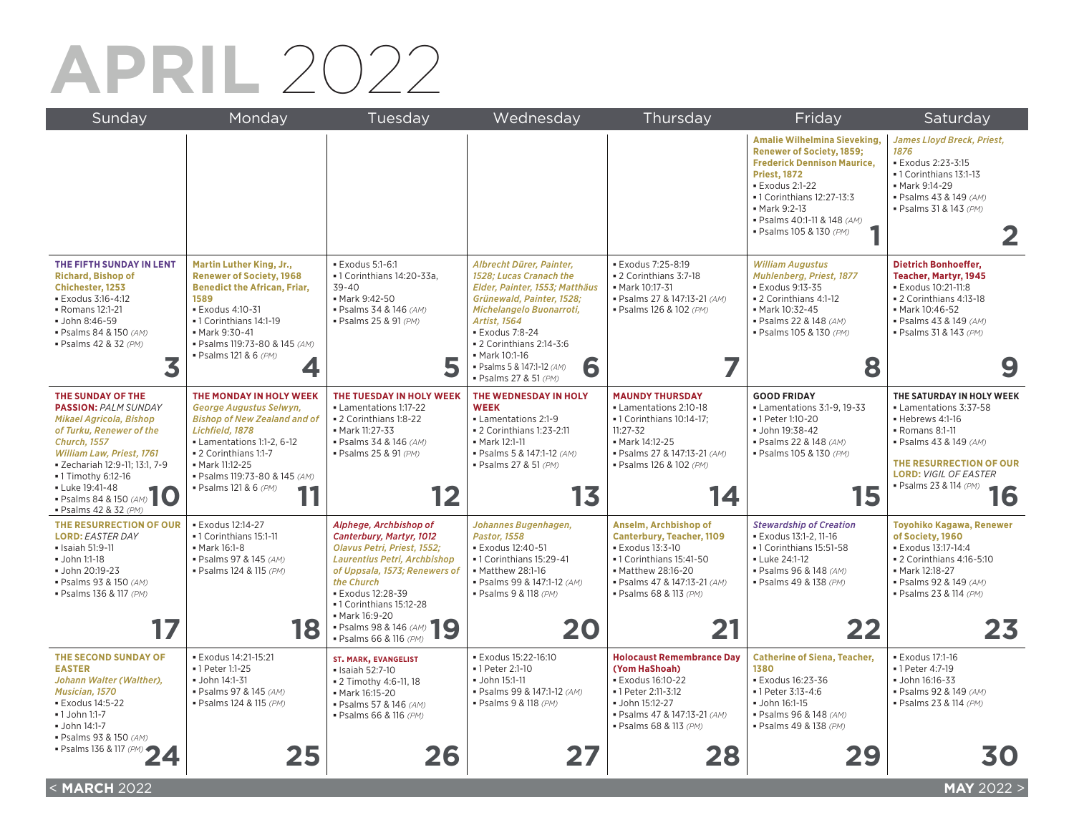## **APRIL** 2022

| Sunday                                                                                                                                                                                                                                                                                     | Monday                                                                                                                                                                                                                                           | Tuesday                                                                                                                                                                                                                                                                                      | Wednesday                                                                                                                                                                                                                                                                                                | Thursday                                                                                                                                                                                        | Friday                                                                                                                                                                                                                                                                | Saturday                                                                                                                                                                                                        |
|--------------------------------------------------------------------------------------------------------------------------------------------------------------------------------------------------------------------------------------------------------------------------------------------|--------------------------------------------------------------------------------------------------------------------------------------------------------------------------------------------------------------------------------------------------|----------------------------------------------------------------------------------------------------------------------------------------------------------------------------------------------------------------------------------------------------------------------------------------------|----------------------------------------------------------------------------------------------------------------------------------------------------------------------------------------------------------------------------------------------------------------------------------------------------------|-------------------------------------------------------------------------------------------------------------------------------------------------------------------------------------------------|-----------------------------------------------------------------------------------------------------------------------------------------------------------------------------------------------------------------------------------------------------------------------|-----------------------------------------------------------------------------------------------------------------------------------------------------------------------------------------------------------------|
|                                                                                                                                                                                                                                                                                            |                                                                                                                                                                                                                                                  |                                                                                                                                                                                                                                                                                              |                                                                                                                                                                                                                                                                                                          |                                                                                                                                                                                                 | <b>Amalie Wilhelmina Sieveking,</b><br><b>Renewer of Society, 1859;</b><br><b>Frederick Dennison Maurice,</b><br><b>Priest, 1872</b><br><b>Exodus 2:1-22</b><br>• 1 Corinthians 12:27-13:3<br>• Mark 9:2-13<br>· Psalms 40:1-11 & 148 (AM)<br>· Psalms 105 & 130 (PM) | James Lloyd Breck, Priest,<br>1876<br><b>Exodus 2:23-3:15</b><br>• 1 Corinthians 13:1-13<br>• Mark 9:14-29<br>· Psalms 43 & 149 (AM)<br>· Psalms 31 & 143 (PM)<br>2                                             |
| THE FIFTH SUNDAY IN LENT<br><b>Richard, Bishop of</b><br>Chichester, 1253<br>· Exodus 3:16-4:12<br>- Romans 12:1-21<br>· John 8:46-59<br>· Psalms 84 & 150 (AM)<br>· Psalms 42 & 32 (PM)<br>3                                                                                              | Martin Luther King, Jr.,<br><b>Renewer of Society, 1968</b><br><b>Benedict the African, Friar,</b><br>1589<br><b>Exodus 4:10-31</b><br>• 1 Corinthians 14:1-19<br>• Mark 9:30-41<br>· Psalms 119:73-80 & 145 (AM)<br>· Psalms 121 & 6 (PM)       | · Exodus 5:1-6:1<br>- 1 Corinthians 14:20-33a,<br>$39 - 40$<br>• Mark 9:42-50<br>· Psalms 34 & 146 (AM)<br>· Psalms 25 & 91 (PM)                                                                                                                                                             | Albrecht Dürer, Painter,<br>1528; Lucas Cranach the<br>Elder, Painter, 1553; Matthäus<br>Grünewald, Painter, 1528;<br>Michelangelo Buonarroti,<br>Artist, 1564<br><b>Exodus 7:8-24</b><br>$\bullet$ 2 Corinthians 2:14-3:6<br>• Mark 10:1-16<br>6<br>· Psalms 5 & 147:1-12 (AM)<br>· Psalms 27 & 51 (PM) | · Exodus 7:25-8:19<br>- 2 Corinthians 3:7-18<br>• Mark 10:17-31<br>· Psalms 27 & 147:13-21 (AM)<br>· Psalms 126 & 102 (PM)                                                                      | <b>William Augustus</b><br>Muhlenberg, Priest, 1877<br>· Exodus 9:13-35<br>- 2 Corinthians 4:1-12<br>- Mark 10:32-45<br>· Psalms 22 & 148 (AM)<br>· Psalms 105 & 130 (PM)<br>8                                                                                        | <b>Dietrich Bonhoeffer,</b><br>Teacher, Martyr, 1945<br>· Exodus 10:21-11:8<br>- 2 Corinthians 4:13-18<br>Mark 10:46-52<br>· Psalms 43 & 149 (AM)<br>· Psalms 31 & 143 (PM)                                     |
| THE SUNDAY OF THE<br><b>PASSION: PALM SUNDAY</b><br>Mikael Agricola, Bishop<br>of Turku, Renewer of the<br><b>Church. 1557</b><br>William Law, Priest, 1761<br>· Zechariah 12:9-11; 13:1, 7-9<br>• 1 Timothy 6:12-16<br>- Luke 19:41-48<br>- Psalms 84 & 150 (AM)<br>· Psalms 42 & 32 (PM) | THE MONDAY IN HOLY WEEK<br>George Augustus Selwyn,<br><b>Bishop of New Zealand and of</b><br>Lichfield, 1878<br>• Lamentations 1:1-2, 6-12<br>- 2 Corinthians 1:1-7<br>• Mark 11:12-25<br>· Psalms 119:73-80 & 145 (AM)<br>· Psalms 121 & 6 (PM) | THE TUESDAY IN HOLY WEEK<br>• Lamentations 1:17-22<br>• 2 Corinthians 1:8-22<br>• Mark 11:27-33<br>· Psalms 34 & 146 (AM)<br>· Psalms 25 & 91 (PM)<br>12                                                                                                                                     | THE WEDNESDAY IN HOLY<br><b>WEEK</b><br>• Lamentations 2:1-9<br>• 2 Corinthians 1:23-2:11<br>• Mark 12:1-11<br>· Psalms 5 & 147:1-12 (AM)<br>· Psalms 27 & 51 (PM)<br>13                                                                                                                                 | <b>MAUNDY THURSDAY</b><br>• Lamentations 2:10-18<br>- 1 Corinthians 10:14-17;<br>$11:27 - 32$<br>• Mark 14:12-25<br>· Psalms 27 & 147:13-21 (AM)<br>· Psalms 126 & 102 (PM)<br>14               | <b>GOOD FRIDAY</b><br>Lamentations 3:1-9, 19-33<br>· 1 Peter 1:10-20<br>· John 19:38-42<br>· Psalms 22 & 148 (AM)<br>· Psalms 105 & 130 (PM)<br>15                                                                                                                    | THE SATURDAY IN HOLY WEEK<br>• Lamentations 3:37-58<br>· Hebrews 4:1-16<br>• Romans 8:1-11<br>· Psalms 43 & 149 (AM)<br>THE RESURRECTION OF OUR<br><b>LORD: VIGIL OF EASTER</b><br>· Psalms 23 & 114 (PM)<br>16 |
| THE RESURRECTION OF OUR<br><b>LORD: EASTER DAY</b><br>- Isaiah 51:9-11<br>John 1:1-18<br>· John 20:19-23<br>· Psalms 93 & 150 (AM)<br>· Psalms 136 & 117 (PM)                                                                                                                              | · Exodus 12:14-27<br>• 1 Corinthians 15:1-11<br>• Mark 16:1-8<br>· Psalms 97 & 145 (AM)<br>· Psalms 124 & 115 (PM)<br>18                                                                                                                         | Alphege, Archbishop of<br>Canterbury, Martyr, 1012<br>Olavus Petri, Priest, 1552;<br>Laurentius Petri, Archbishop<br>of Uppsala, 1573; Renewers of<br>the Church<br>· Exodus 12:28-39<br>• 1 Corinthians 15:12-28<br>- Mark 16:9-20<br>9<br>· Psalms 98 & 146 (AM)<br>· Psalms 66 & 116 (PM) | Johannes Bugenhagen,<br><b>Pastor, 1558</b><br>· Exodus 12:40-51<br>- 1 Corinthians 15:29-41<br>• Matthew 28:1-16<br>· Psalms 99 & 147:1-12 (AM)<br>· Psalms 9 & 118 (PM)<br>20                                                                                                                          | Anselm, Archbishop of<br><b>Canterbury, Teacher, 1109</b><br>· Exodus 13:3-10<br>- 1 Corinthians 15:41-50<br>• Matthew 28:16-20<br>· Psalms 47 & 147:13-21 (AM)<br>· Psalms 68 & 113 (PM)<br>21 | <b>Stewardship of Creation</b><br><b>Exodus 13:1-2, 11-16</b><br>- 1 Corinthians 15:51-58<br>- Luke 24:1-12<br>· Psalms 96 & 148 (AM)<br>· Psalms 49 & 138 (PM)<br>22                                                                                                 | Toyohiko Kagawa, Renewer<br>of Society, 1960<br>· Exodus 13:17-14:4<br>• 2 Corinthians 4:16-5:10<br>· Mark 12:18-27<br>· Psalms 92 & 149 (AM)<br>· Psalms 23 & 114 (PM)<br>23                                   |
| THE SECOND SUNDAY OF<br><b>EASTER</b><br>Johann Walter (Walther),<br>Musician, 1570<br><b>Exodus 14:5-22</b><br>$-1$ John 1:1-7<br>- John 14:1-7<br>· Psalms 93 & 150 (AM)                                                                                                                 | · Exodus 14:21-15:21<br>• 1 Peter 1:1-25<br>· John 14:1-31<br>· Psalms 97 & 145 (AM)<br>· Psalms 124 & 115 (PM)                                                                                                                                  | <b>ST. MARK, EVANGELIST</b><br>· Isaiah 52:7-10<br>. 2 Timothy 4:6-11, 18<br>• Mark 16:15-20<br>· Psalms 57 & 146 (AM)<br>· Psalms 66 & 116 (PM)                                                                                                                                             | · Exodus 15:22-16:10<br>• 1 Peter 2:1-10<br>• John 15:1-11<br>• Psalms 99 & 147:1-12 (AM)<br>· Psalms 9 & 118 (PM)                                                                                                                                                                                       | <b>Holocaust Remembrance Day</b><br>(Yom HaShoah)<br>· Exodus 16:10-22<br>• 1 Peter 2:11-3:12<br>· John 15:12-27<br>· Psalms 47 & 147:13-21 (AM)<br>· Psalms 68 & 113 (PM)                      | <b>Catherine of Siena, Teacher,</b><br>1380<br>· Exodus 16:23-36<br>· 1 Peter 3:13-4:6<br>· John 16:1-15<br>· Psalms 96 & 148 (AM)<br>· Psalms 49 & 138 (PM)                                                                                                          | <b>Exodus 17:1-16</b><br>•1 Peter 4:7-19<br>· John 16:16-33<br>· Psalms 92 & 149 (AM)<br>· Psalms 23 & 114 (PM)                                                                                                 |
| ■ Psalms 136 & 117 (PM)                                                                                                                                                                                                                                                                    | 25                                                                                                                                                                                                                                               | 26                                                                                                                                                                                                                                                                                           | 27                                                                                                                                                                                                                                                                                                       | 28                                                                                                                                                                                              | 29                                                                                                                                                                                                                                                                    | 30                                                                                                                                                                                                              |
| <march 2022<="" td=""><td></td><td></td><td></td><td></td><td></td><td><b>MAY 2022 &gt;</b></td></march>                                                                                                                                                                                   |                                                                                                                                                                                                                                                  |                                                                                                                                                                                                                                                                                              |                                                                                                                                                                                                                                                                                                          |                                                                                                                                                                                                 |                                                                                                                                                                                                                                                                       | <b>MAY 2022 &gt;</b>                                                                                                                                                                                            |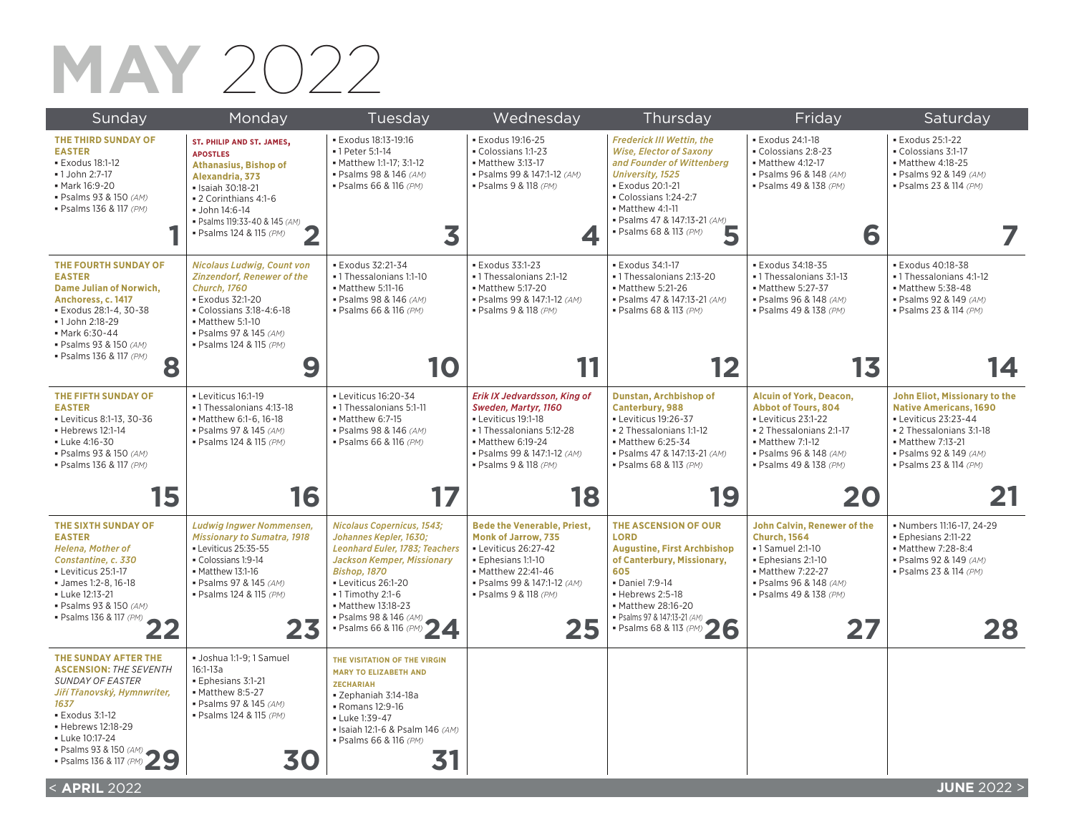#### **MAY** 2022

| Sunday                                                                                                                                                                                                                                              | Monday                                                                                                                                                                                                                                      | Tuesday                                                                                                                                                                                                                                                                          | Wednesday                                                                                                                                                                                        | Thursday                                                                                                                                                                                                                                                    | Friday                                                                                                                                                                                  | Saturday                                                                                                                                                                                    |
|-----------------------------------------------------------------------------------------------------------------------------------------------------------------------------------------------------------------------------------------------------|---------------------------------------------------------------------------------------------------------------------------------------------------------------------------------------------------------------------------------------------|----------------------------------------------------------------------------------------------------------------------------------------------------------------------------------------------------------------------------------------------------------------------------------|--------------------------------------------------------------------------------------------------------------------------------------------------------------------------------------------------|-------------------------------------------------------------------------------------------------------------------------------------------------------------------------------------------------------------------------------------------------------------|-----------------------------------------------------------------------------------------------------------------------------------------------------------------------------------------|---------------------------------------------------------------------------------------------------------------------------------------------------------------------------------------------|
| THE THIRD SUNDAY OF<br><b>EASTER</b><br><b>Exodus 18:1-12</b><br>•1 John 2:7-17<br>• Mark 16:9-20<br>· Psalms 93 & 150 (AM)<br>· Psalms 136 & 117 (PM)                                                                                              | ST. PHILIP AND ST. JAMES,<br><b>APOSTLES</b><br><b>Athanasius, Bishop of</b><br>Alexandria, 373<br>· Isaiah 30:18-21<br>• 2 Corinthians 4:1-6<br>• John 14:6-14<br>· Psalms 119:33-40 & 145 (AM)<br>· Psalms 124 & 115 (PM)<br>$\mathbf{Z}$ | · Exodus 18:13-19:16<br>• 1 Peter 5:1-14<br>• Matthew 1:1-17; 3:1-12<br>· Psalms 98 & 146 (AM)<br>· Psalms 66 & 116 (PM)<br>3                                                                                                                                                    | · Exodus 19:16-25<br>Colossians 1:1-23<br>• Matthew 3:13-17<br>· Psalms 99 & 147:1-12 (AM)<br>· Psalms 9 & 118 (PM)<br>◢                                                                         | <b>Frederick III Wettin, the</b><br><b>Wise, Elector of Saxony</b><br>and Founder of Wittenberg<br><b>University, 1525</b><br><b>Exodus 20:1-21</b><br>Colossians 1:24-2:7<br>Matthew 4:1-11<br>· Psalms 47 & 147:13-21 (AM)<br>5<br>· Psalms 68 & 113 (PM) | · Exodus 24:1-18<br>Colossians 2:8-23<br>• Matthew 4:12-17<br>· Psalms 96 & 148 (AM)<br>· Psalms 49 & 138 (PM)<br>6                                                                     | <b>Exodus 25:1-22</b><br>Colossians 3:1-17<br>• Matthew 4:18-25<br>· Psalms 92 & 149 (AM)<br>· Psalms 23 & 114 (PM)                                                                         |
| THE FOURTH SUNDAY OF<br><b>EASTER</b><br><b>Dame Julian of Norwich,</b><br>Anchoress, c. 1417<br>· Exodus 28:1-4, 30-38<br>•1 John 2:18-29<br>• Mark 6:30-44<br>· Psalms 93 & 150 (AM)<br>· Psalms 136 & 117 (PM)<br>8                              | <b>Nicolaus Ludwig, Count von</b><br><b>Zinzendorf, Renewer of the</b><br><b>Church. 1760</b><br>· Exodus 32:1-20<br>• Colossians 3:18-4:6-18<br>Matthew 5:1-10<br>· Psalms 97 & 145 (AM)<br>· Psalms 124 & 115 (PM)<br>9                   | <b>Exodus 32:21-34</b><br>· 1 Thessalonians 1:1-10<br>• Matthew 5:11-16<br>· Psalms 98 & 146 (AM)<br>· Psalms 66 & 116 (PM)<br>10                                                                                                                                                | <b>Exodus 33:1-23</b><br>· 1 Thessalonians 2:1-12<br>• Matthew 5:17-20<br>· Psalms 99 & 147:1-12 (AM)<br>· Psalms 9 & 118 (PM)                                                                   | <b>Exodus 34:1-17</b><br>· 1 Thessalonians 2:13-20<br>• Matthew 5:21-26<br>· Psalms 47 & 147:13-21 (AM)<br>· Psalms 68 & 113 (PM)<br>12                                                                                                                     | <b>Exodus 34:18-35</b><br>- 1 Thessalonians 3:1-13<br>• Matthew 5:27-37<br>· Psalms 96 & 148 (AM)<br>· Psalms 49 & 138 (PM)<br>13                                                       | · Exodus 40:18-38<br>· 1 Thessalonians 4:1-12<br>• Matthew 5:38-48<br>· Psalms 92 & 149 (AM)<br>· Psalms 23 & 114 (PM)<br>4                                                                 |
| THE FIFTH SUNDAY OF<br><b>EASTER</b><br>• Leviticus 8:1-13, 30-36<br>• Hebrews 12:1-14<br>- Luke 4:16-30<br>· Psalms 93 & 150 (AM)<br>· Psalms 136 & 117 (PM)                                                                                       | - Leviticus 16:1-19<br>-1 Thessalonians 4:13-18<br>• Matthew 6:1-6, 16-18<br>· Psalms 97 & 145 (AM)<br>· Psalms 124 & 115 (PM)                                                                                                              | - Leviticus 16:20-34<br>•1 Thessalonians 5:1-11<br>Matthew 6:7-15<br>· Psalms 98 & 146 (AM)<br>· Psalms 66 & 116 (PM)                                                                                                                                                            | Erik IX Jedvardsson, King of<br>Sweden, Martyr, 1160<br>- Leviticus 19:1-18<br>• 1 Thessalonians 5:12-28<br>• Matthew 6:19-24<br>· Psalms 99 & 147:1-12 (AM)<br>· Psalms 9 & 118 (PM)            | Dunstan, Archbishop of<br><b>Canterbury, 988</b><br>- Leviticus 19:26-37<br>• 2 Thessalonians 1:1-12<br>• Matthew 6:25-34<br>· Psalms 47 & 147:13-21 (AM)<br>· Psalms 68 & 113 (PM)                                                                         | <b>Alcuin of York, Deacon,</b><br><b>Abbot of Tours, 804</b><br>- Leviticus 23:1-22<br>• 2 Thessalonians 2:1-17<br>• Matthew 7:1-12<br>· Psalms 96 & 148 (AM)<br>· Psalms 49 & 138 (PM) | John Eliot, Missionary to the<br><b>Native Americans, 1690</b><br>• Leviticus 23:23-44<br>• 2 Thessalonians 3:1-18<br>• Matthew 7:13-21<br>· Psalms 92 & 149 (AM)<br>· Psalms 23 & 114 (PM) |
| 15                                                                                                                                                                                                                                                  | 16                                                                                                                                                                                                                                          | 17                                                                                                                                                                                                                                                                               | 18                                                                                                                                                                                               | 19                                                                                                                                                                                                                                                          | 20                                                                                                                                                                                      | 21                                                                                                                                                                                          |
| THE SIXTH SUNDAY OF<br><b>EASTER</b><br><b>Helena, Mother of</b><br>Constantine, c. 330<br>- Leviticus 25:1-17<br>• James 1:2-8, 16-18<br>- Luke 12:13-21<br>· Psalms 93 & 150 (AM)<br>· Psalms 136 & 117 (PM)<br>$\blacktriangle$ $\blacktriangle$ | <b>Ludwig Ingwer Nommensen,</b><br><b>Missionary to Sumatra, 1918</b><br>- Leviticus 25:35-55<br>Colossians 1:9-14<br>• Matthew 13:1-16<br>· Psalms 97 & 145 (AM)<br>· Psalms 124 & 115 (PM)<br>23                                          | <b>Nicolaus Copernicus, 1543;</b><br>Johannes Kepler, 1630;<br>Leonhard Euler, 1783; Teachers<br><b>Jackson Kemper, Missionary</b><br><b>Bishop, 1870</b><br>- Leviticus 26:1-20<br>$-1$ Timothy 2:1-6<br>• Matthew 13:18-23<br>· Psalms 98 & 146 (AM)<br>· Psalms 66 & 116 (PM) | <b>Bede the Venerable, Priest.</b><br><b>Monk of Jarrow, 735</b><br>• Leviticus 26:27-42<br>Ephesians 1:1-10<br>• Matthew 22:41-46<br>· Psalms 99 & 147:1-12 (AM)<br>· Psalms 9 & 118 (PM)<br>25 | THE ASCENSION OF OUR<br><b>LORD</b><br><b>Augustine, First Archbishop</b><br>of Canterbury, Missionary,<br>605<br>· Daniel 7:9-14<br>Hebrews 2:5-18<br>• Matthew 28:16-20<br>· Psalms 97 & 147:13-21 (AM)<br>· Psalms 68 & 113 (PM)<br>26                   | <b>John Calvin, Renewer of the</b><br><b>Church, 1564</b><br>•1 Samuel 2:1-10<br>· Ephesians 2:1-10<br>• Matthew 7:22-27<br>· Psalms 96 & 148 (AM)<br>· Psalms 49 & 138 (PM)<br>27      | · Numbers 11:16-17, 24-29<br>· Ephesians 2:11-22<br>• Matthew 7:28-8:4<br>· Psalms 92 & 149 (AM)<br>· Psalms 23 & 114 (PM)<br>28                                                            |
| THE SUNDAY AFTER THE<br><b>ASCENSION: THE SEVENTH</b><br><b>SUNDAY OF EASTER</b><br>Jiří Třanovský, Hymnwriter,<br>1637<br><b>Exodus 3:1-12</b><br>· Hebrews 12:18-29<br>- Luke 10:17-24<br>- Psalms 93 & 150 (AM)<br>- Psalms 136 & 117 (PM)       | · Joshua 1:1-9; 1 Samuel<br>$16:1-13a$<br>Ephesians 3:1-21<br>• Matthew 8:5-27<br>· Psalms 97 & 145 (AM)<br>· Psalms 124 & 115 (PM)<br>30                                                                                                   | THE VISITATION OF THE VIRGIN<br><b>MARY TO ELIZABETH AND</b><br><b>ZECHARIAH</b><br>· Zephaniah 3:14-18a<br>Romans 12:9-16<br>- Luke 1:39-47<br>· Isaiah 12:1-6 & Psalm 146 (AM)<br>· Psalms 66 & 116 (PM)                                                                       |                                                                                                                                                                                                  |                                                                                                                                                                                                                                                             |                                                                                                                                                                                         |                                                                                                                                                                                             |
| < <b>APRIL</b> 2022                                                                                                                                                                                                                                 |                                                                                                                                                                                                                                             |                                                                                                                                                                                                                                                                                  |                                                                                                                                                                                                  |                                                                                                                                                                                                                                                             |                                                                                                                                                                                         | <b>JUNE 2022 &gt;</b>                                                                                                                                                                       |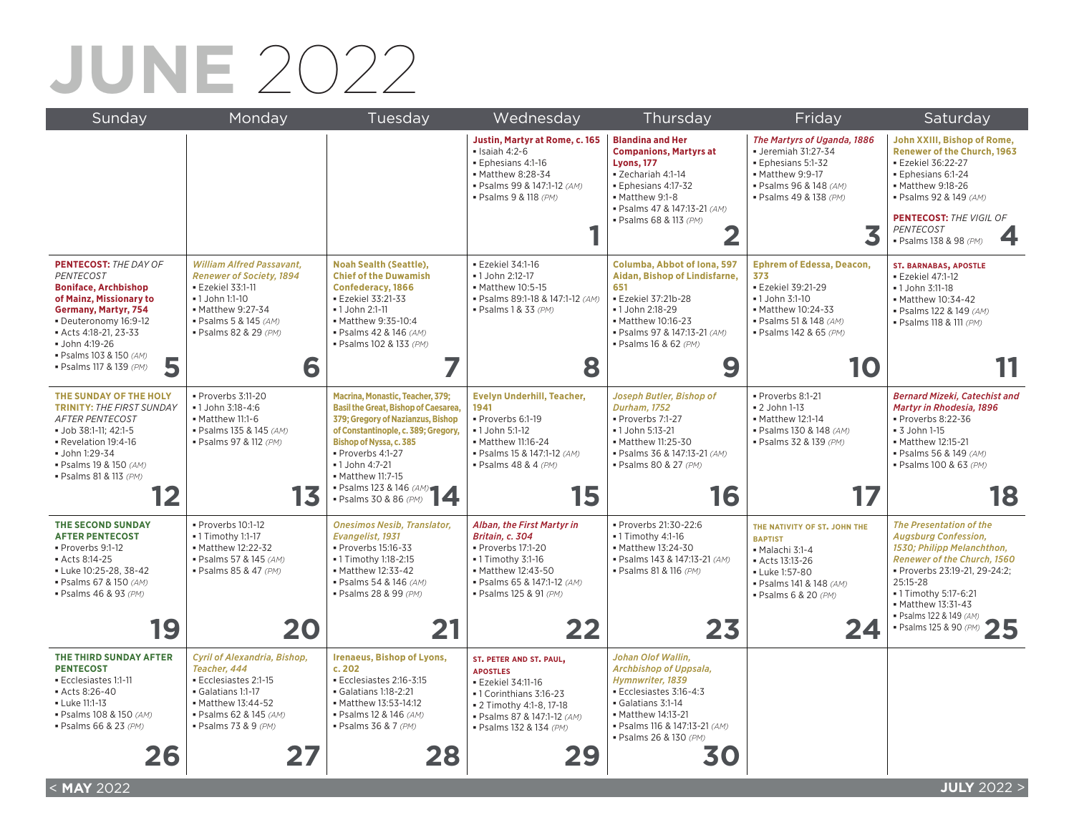# **JUNE** 2022

| Sunday                                                                                                                                                                                                                                                                 | Monday                                                                                                                                                                                       | Tuesday                                                                                                                                                                                                                                                                                                      | Wednesday                                                                                                                                                                         | Thursday                                                                                                                                                                                               | Friday                                                                                                                                                                | Saturday                                                                                                                                                                                                                                                                  |
|------------------------------------------------------------------------------------------------------------------------------------------------------------------------------------------------------------------------------------------------------------------------|----------------------------------------------------------------------------------------------------------------------------------------------------------------------------------------------|--------------------------------------------------------------------------------------------------------------------------------------------------------------------------------------------------------------------------------------------------------------------------------------------------------------|-----------------------------------------------------------------------------------------------------------------------------------------------------------------------------------|--------------------------------------------------------------------------------------------------------------------------------------------------------------------------------------------------------|-----------------------------------------------------------------------------------------------------------------------------------------------------------------------|---------------------------------------------------------------------------------------------------------------------------------------------------------------------------------------------------------------------------------------------------------------------------|
|                                                                                                                                                                                                                                                                        |                                                                                                                                                                                              |                                                                                                                                                                                                                                                                                                              | Justin, Martyr at Rome, c. 165<br>$\blacksquare$ Isaiah 4:2-6<br>· Ephesians 4:1-16<br>• Matthew 8:28-34<br>· Psalms 99 & 147:1-12 (AM)<br>· Psalms 9 & 118 (PM)                  | <b>Blandina and Her</b><br><b>Companions, Martyrs at</b><br><b>Lyons, 177</b><br>· Zechariah 4:1-14<br>· Ephesians 4:17-32<br>Matthew 9:1-8<br>· Psalms 47 & 147:13-21 (AM)<br>· Psalms 68 & 113 (PM)  | The Martyrs of Uganda, 1886<br>• Jeremiah 31:27-34<br>Ephesians 5:1-32<br>• Matthew 9:9-17<br>· Psalms 96 & 148 (AM)<br>· Psalms 49 & 138 (PM)<br>3                   | John XXIII, Bishop of Rome,<br><b>Renewer of the Church, 1963</b><br>· Ezekiel 36:22-27<br>· Ephesians 6:1-24<br>• Matthew 9:18-26<br>· Psalms 92 & 149 (AM)<br><b>PENTECOST: THE VIGIL OF</b><br><b>PENTECOST</b><br>· Psalms 138 & 98 (PM)                              |
| <b>PENTECOST: THE DAY OF</b><br><b>PENTECOST</b><br><b>Boniface, Archbishop</b><br>of Mainz, Missionary to<br><b>Germany, Martyr, 754</b><br>• Deuteronomy 16:9-12<br>Acts 4:18-21, 23-33<br>· John 4:19-26<br>· Psalms 103 & 150 (AM)<br>5<br>· Psalms 117 & 139 (PM) | <b>William Alfred Passavant,</b><br><b>Renewer of Society, 1894</b><br><b>Ezekiel 33:1-11</b><br>• 1 John 1:1-10<br>• Matthew 9:27-34<br>· Psalms 5 & 145 (AM)<br>· Psalms 82 & 29 (PM)<br>6 | <b>Noah Sealth (Seattle),</b><br><b>Chief of the Duwamish</b><br><b>Confederacy, 1866</b><br>· Ezekiel 33:21-33<br>• 1 John 2:1-11<br>• Matthew 9:35-10:4<br>· Psalms 42 & 146 (AM)<br>· Psalms 102 & 133 (PM)                                                                                               | · Ezekiel 34:1-16<br>· 1 John 2:12-17<br>• Matthew 10:5-15<br>· Psalms 89:1-18 & 147:1-12 (AM)<br>· Psalms 1 & 33 (PM)<br>8                                                       | Columba, Abbot of Iona, 597<br>Aidan, Bishop of Lindisfarne,<br>651<br><b>Ezekiel 37:21b-28</b><br>•1 John 2:18-29<br>• Matthew 10:16-23<br>· Psalms 97 & 147:13-21 (AM)<br>· Psalms 16 & 62 (PM)<br>9 | <b>Ephrem of Edessa, Deacon,</b><br>373<br><b>Ezekiel 39:21-29</b><br>• 1 John 3:1-10<br>• Matthew 10:24-33<br>· Psalms 51 & 148 (AM)<br>· Psalms 142 & 65 (PM)<br>10 | <b>ST. BARNABAS, APOSTLE</b><br>· Ezekiel 47:1-12<br>• 1 John 3:11-18<br>• Matthew 10:34-42<br>· Psalms 122 & 149 (AM)<br>· Psalms 118 & 111 (PM)                                                                                                                         |
| THE SUNDAY OF THE HOLY<br><b>TRINITY: THE FIRST SUNDAY</b><br><b>AFTER PENTECOST</b><br>· Job 38:1-11; 42:1-5<br>Revelation 19:4-16<br>· John 1:29-34<br>· Psalms 19 & 150 (AM)<br>· Psalms 81 & 113 (PM)                                                              | · Proverbs 3:11-20<br>• 1 John 3:18-4:6<br>Matthew 11:1-6<br>· Psalms 135 & 145 (AM)<br>· Psalms 97 & 112 (PM)<br>13                                                                         | Macrina, Monastic, Teacher, 379;<br><b>Basil the Great, Bishop of Caesarea,</b><br>379; Gregory of Nazianzus, Bishop<br>of Constantinople, c. 389; Gregory,<br><b>Bishop of Nyssa, c. 385</b><br>Proverbs 4:1-27<br>• 1 John 4:7-21<br>• Matthew 11:7-15<br>• Matthew II. $I = 1$<br>• Psalms 123 & 146 (AM) | <b>Evelyn Underhill, Teacher,</b><br>1941<br>Proverbs 6:1-19<br>• 1 John 5:1-12<br>• Matthew 11:16-24<br>· Psalms 15 & 147:1-12 (AM)<br>· Psalms 48 & 4 (PM)<br>15                | Joseph Butler, Bishop of<br><b>Durham, 1752</b><br>Proverbs 7:1-27<br>· 1 John 5:13-21<br>• Matthew 11:25-30<br>· Psalms 36 & 147:13-21 (AM)<br>· Psalms 80 & 27 (PM)<br>16                            | Proverbs 8:1-21<br><b>2 John 1-13</b><br>• Matthew 12:1-14<br>· Psalms 130 & 148 (AM)<br>· Psalms 32 & 139 (PM)<br>17                                                 | <b>Bernard Mizeki, Catechist and</b><br>Martyr in Rhodesia, 1896<br>Proverbs 8:22-36<br><b>- 3 John 1-15</b><br>• Matthew 12:15-21<br>· Psalms 56 & 149 (AM)<br>· Psalms 100 & 63 (PM)<br>18                                                                              |
| THE SECOND SUNDAY<br><b>AFTER PENTECOST</b><br>Proverbs 9:1-12<br>Acts 8:14-25<br>• Luke 10:25-28. 38-42<br>· Psalms 67 & 150 (AM)<br>· Psalms 46 & 93 (PM)<br>19                                                                                                      | Proverbs 10:1-12<br>- 1 Timothy 1:1-17<br>• Matthew 12:22-32<br>· Psalms 57 & 145 (AM)<br>· Psalms 85 & 47 (PM)<br>20                                                                        | <b>Onesimos Nesib, Translator,</b><br>Evangelist, 1931<br>- Proverbs 15:16-33<br>- 1 Timothy 1:18-2:15<br>• Matthew 12:33-42<br>· Psalms 54 & 146 (AM)<br>· Psalms 28 & 99 (PM)                                                                                                                              | Alban, the First Martyr in<br>Britain, c. 304<br>Proverbs 17:1-20<br>- 1 Timothy 3:1-16<br>• Matthew 12:43-50<br>· Psalms 65 & 147:1-12 (AM)<br>· Psalms 125 & 91 (PM)<br>22      | Proverbs 21:30-22:6<br>•1 Timothy 4:1-16<br>• Matthew 13:24-30<br>· Psalms 143 & 147:13-21 (AM)<br>· Psalms 81 & 116 (PM)<br>23                                                                        | THE NATIVITY OF ST. JOHN THE<br><b>BAPTIST</b><br>Malachi 3:1-4<br>Acts 13:13-26<br>- Luke 1:57-80<br>· Psalms 141 & 148 (AM)<br>· Psalms 6 & 20 (PM)<br>24           | <b>The Presentation of the</b><br><b>Augsburg Confession,</b><br>1530; Philipp Melanchthon,<br>Renewer of the Church, 1560<br>Proverbs 23:19-21, 29-24:2:<br>25:15-28<br>• 1 Timothy 5:17-6:21<br>• Matthew 13:31-43<br>· Psalms 122 & 149 (AM)<br>· Psalms 125 & 90 (PM) |
| THE THIRD SUNDAY AFTER<br><b>PENTECOST</b><br>Ecclesiastes 1:1-11<br>Acts 8:26-40<br>- Luke 11:1-13<br>· Psalms 108 & 150 (AM)<br>· Psalms 66 & 23 (PM)<br>26                                                                                                          | Cyril of Alexandria, Bishop,<br>Teacher, 444<br>Ecclesiastes 2:1-15<br>Galatians 1:1-17<br>• Matthew 13:44-52<br>· Psalms 62 & 145 (AM)<br>· Psalms 73 & 9 (PM)                              | <b>Irenaeus, Bishop of Lyons,</b><br>c.202<br>Ecclesiastes 2:16-3:15<br>Galatians 1:18-2:21<br>• Matthew 13:53-14:12<br>• Psalms 12 & 146 (AM)<br>· Psalms 36 & 7 (PM)<br>28                                                                                                                                 | ST. PETER AND ST. PAUL,<br><b>APOSTLES</b><br>· Ezekiel 34:11-16<br>• 1 Corinthians 3:16-23<br>• 2 Timothy 4:1-8, 17-18<br>· Psalms 87 & 147:1-12 (AM)<br>· Psalms 132 & 134 (PM) | Johan Olof Wallin,<br>Archbishop of Uppsala,<br>Hymnwriter, 1839<br>Ecclesiastes 3:16-4:3<br>Galatians 3:1-14<br>• Matthew 14:13-21<br>· Psalms 116 & 147:13-21 (AM)<br>· Psalms 26 & 130 (PM)         |                                                                                                                                                                       |                                                                                                                                                                                                                                                                           |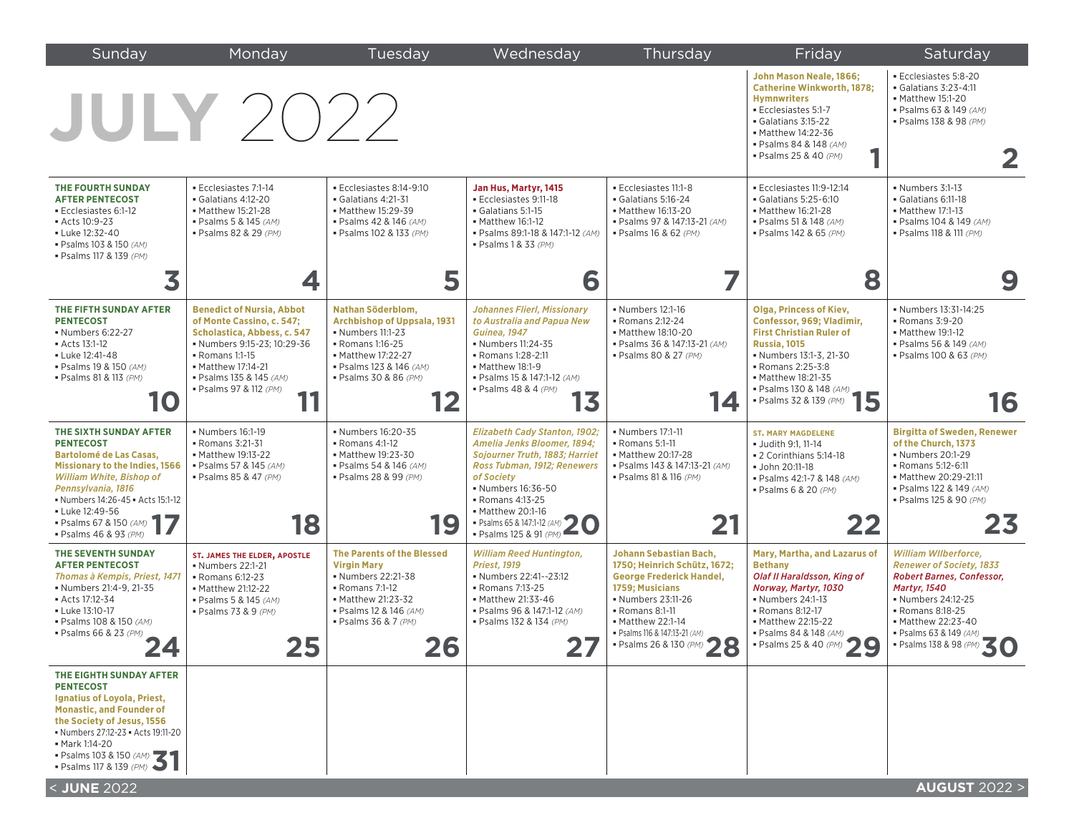| Sunday                                                                                                                                                                                                                                                                       | Monday                                                                                                                                                                                                                               | Tuesday                                                                                                                                                                                | Wednesday                                                                                                                                                                                                                                           | Thursday                                                                                                                                                                                                                                    | Friday                                                                                                                                                                                                                                                  | Saturday                                                                                                                                                                                                                                 |
|------------------------------------------------------------------------------------------------------------------------------------------------------------------------------------------------------------------------------------------------------------------------------|--------------------------------------------------------------------------------------------------------------------------------------------------------------------------------------------------------------------------------------|----------------------------------------------------------------------------------------------------------------------------------------------------------------------------------------|-----------------------------------------------------------------------------------------------------------------------------------------------------------------------------------------------------------------------------------------------------|---------------------------------------------------------------------------------------------------------------------------------------------------------------------------------------------------------------------------------------------|---------------------------------------------------------------------------------------------------------------------------------------------------------------------------------------------------------------------------------------------------------|------------------------------------------------------------------------------------------------------------------------------------------------------------------------------------------------------------------------------------------|
|                                                                                                                                                                                                                                                                              | <b>JULY</b> 2022                                                                                                                                                                                                                     |                                                                                                                                                                                        |                                                                                                                                                                                                                                                     |                                                                                                                                                                                                                                             | John Mason Neale, 1866;<br><b>Catherine Winkworth, 1878;</b><br><b>Hymnwriters</b><br>Ecclesiastes 5:1-7<br>Galatians 3:15-22<br>• Matthew 14:22-36<br>· Psalms 84 & 148 (AM)<br>· Psalms 25 & 40 (PM)                                                  | Ecclesiastes 5:8-20<br>Galatians 3:23-4:11<br>• Matthew 15:1-20<br>· Psalms 63 & 149 (AM)<br>· Psalms 138 & 98 (PM)<br>2                                                                                                                 |
| THE FOURTH SUNDAY<br><b>AFTER PENTECOST</b><br>Ecclesiastes 6:1-12<br>Acts 10:9-23<br>- Luke 12:32-40<br>• Psalms 103 & 150 (AM)<br>· Psalms 117 & 139 (PM)                                                                                                                  | Ecclesiastes 7:1-14<br>Galatians 4:12-20<br>• Matthew 15:21-28<br>· Psalms 5 & 145 (AM)<br>· Psalms 82 & 29 (PM)                                                                                                                     | Ecclesiastes 8:14-9:10<br>$\bullet$ Galatians 4:21-31<br>• Matthew 15:29-39<br>· Psalms 42 & 146 (AM)<br>• Psalms 102 & 133 (PM)                                                       | Jan Hus, Martyr, 1415<br>Ecclesiastes 9:11-18<br>Galatians 5:1-15<br>• Matthew 16:1-12<br>· Psalms 89:1-18 & 147:1-12 (AM)<br>$\blacksquare$ Psalms 1 & 33 (PM)                                                                                     | Ecclesiastes 11:1-8<br>Galatians 5:16-24<br>• Matthew 16:13-20<br>· Psalms 97 & 147:13-21 (AM)<br>· Psalms 16 & 62 (PM)                                                                                                                     | Ecclesiastes 11:9-12:14<br>Galatians 5:25-6:10<br>• Matthew 16:21-28<br>· Psalms 51 & 148 (AM)<br>· Psalms 142 & 65 (PM)                                                                                                                                | Numbers 3:1-13<br>Galatians 6:11-18<br>• Matthew 17:1-13<br>· Psalms 104 & 149 (AM)<br>· Psalms 118 & 111 (PM)                                                                                                                           |
|                                                                                                                                                                                                                                                                              | 4                                                                                                                                                                                                                                    | 5                                                                                                                                                                                      | 6                                                                                                                                                                                                                                                   |                                                                                                                                                                                                                                             | 8                                                                                                                                                                                                                                                       | 9                                                                                                                                                                                                                                        |
| THE FIFTH SUNDAY AFTER<br><b>PENTECOST</b><br>• Numbers 6:22-27<br>Acts 13:1-12<br>- Luke 12:41-48<br>· Psalms 19 & 150 (AM)<br>· Psalms 81 & 113 (PM)<br>10                                                                                                                 | <b>Benedict of Nursia, Abbot</b><br>of Monte Cassino, c. 547;<br>Scholastica, Abbess, c. 547<br>Numbers 9:15-23: 10:29-36<br>- Romans 1:1-15<br>• Matthew 17:14-21<br>· Psalms 135 & 145 (AM)<br>• Psalms 97 & 112 (PM)<br>11<br>. . | Nathan Söderblom,<br><b>Archbishop of Uppsala, 1931</b><br>• Numbers 11:1-23<br>• Romans 1:16-25<br>• Matthew 17:22-27<br>· Psalms 123 & 146 (AM)<br>• Psalms 30 & 86 (PM)<br>12       | <b>Johannes Flierl, Missionary</b><br>to Australia and Papua New<br><b>Guinea</b> , 1947<br>• Numbers 11:24-35<br>• Romans 1:28-2:11<br>• Matthew 18:1-9<br>· Psalms 15 & 147:1-12 (AM)<br>$\blacksquare$ Psalms 48 & 4 (PM)<br>13                  | • Numbers 12:1-16<br>• Romans 2:12-24<br>• Matthew 18:10-20<br>· Psalms 36 & 147:13-21 (AM)<br>· Psalms 80 & 27 (PM)<br>14                                                                                                                  | <b>Olga, Princess of Kiev,</b><br>Confessor, 969: Vladimir.<br><b>First Christian Ruler of</b><br><b>Russia, 1015</b><br>• Numbers 13:1-3, 21-30<br>• Romans 2:25-3:8<br>• Matthew 18:21-35<br>- Psalms 130 & 148 $(AM)$<br>5<br>· Psalms 32 & 139 (PM) | • Numbers 13:31-14:25<br>• Romans 3:9-20<br>• Matthew 19:1-12<br>· Psalms 56 & 149 (AM)<br>· Psalms 100 & 63 (PM)<br>16                                                                                                                  |
| THE SIXTH SUNDAY AFTER<br><b>PENTECOST</b><br><b>Bartolomé de Las Casas,</b><br><b>Missionary to the Indies, 1566</b><br>William White, Bishop of<br>Pennsylvania, 1816<br>Numbers 14:26-45 Acts 15:1-12<br>Luke 12:49-56<br>· Psalms 67 & 150 (AM)<br>· Psalms 46 & 93 (PM) | • Numbers 16:1-19<br>• Romans 3:21-31<br>• Matthew 19:13-22<br>• Psalms 57 & 145 (AM)<br>· Psalms 85 & 47 (PM)<br>18                                                                                                                 | • Numbers 16:20-35<br>• Romans 4:1-12<br>• Matthew 19:23-30<br>· Psalms 54 & 146 (AM)<br>· Psalms 28 & 99 (PM)<br>19                                                                   | <b>Elizabeth Cady Stanton, 1902;</b><br>Amelia Jenks Bloomer, 1894;<br>Sojourner Truth, 1883; Harriet<br>Ross Tubman, 1912; Renewers<br>of Society<br>• Numbers 16:36-50<br>• Romans 4:13-25<br>• Matthew 20:1-16<br>• Psalms 65 & 147:1-12 (AM) 20 | • Numbers 17:1-11<br>• Romans 5:1-11<br>• Matthew 20:17-28<br>· Psalms 143 & 147:13-21 (AM)<br>· Psalms 81 & 116 (PM)<br>21                                                                                                                 | <b>ST. MARY MAGDELENE</b><br>· Judith 9:1, 11-14<br>• 2 Corinthians 5:14-18<br>· John 20:11-18<br>· Psalms 42:1-7 & 148 (AM)<br>· Psalms 6 & 20 (PM)<br>22                                                                                              | <b>Birgitta of Sweden, Renewer</b><br>of the Church, 1373<br>• Numbers 20:1-29<br>• Romans 5:12-6:11<br>• Matthew 20:29-21:11<br>· Psalms 122 & 149 (AM)<br>· Psalms 125 & 90 (PM)<br>23                                                 |
| THE SEVENTH SUNDAY<br><b>AFTER PENTECOST</b><br>Thomas à Kempis, Priest, 1471<br>• Numbers 21:4-9, 21-35<br>Acts 17:12-34<br>- Luke 13:10-17<br>· Psalms 108 & 150 (AM)<br>· Psalms 66 & 23 (PM)<br>44                                                                       | ST. JAMES THE ELDER, APOSTLE<br>• Numbers 22:1-21<br>• Romans 6:12-23<br>• Matthew 21:12-22<br>· Psalms 5 & 145 (AM)<br>· Psalms 73 & 9 (PM)<br>っこ<br>29                                                                             | <b>The Parents of the Blessed</b><br><b>Virgin Mary</b><br>• Numbers 22:21-38<br>• Romans 7:1-12<br>• Matthew 21:23-32<br>· Psalms 12 & 146 (AM)<br>$\bullet$ Psalms 36 & 7 (PM)<br>26 | <b>William Reed Huntington,</b><br><b>Priest. 1919</b><br>• Numbers 22:41--23:12<br>- Romans 7:13-25<br>• Matthew 21:33-46<br>· Psalms 96 & 147:1-12 (AM)<br>· Psalms 132 & 134 (PM)<br>Z 1                                                         | Johann Sebastian Bach,<br>1750; Heinrich Schütz, 1672;<br><b>George Frederick Handel.</b><br>1759; Musicians<br>• Numbers 23:11-26<br>• Romans 8:1-11<br>• Matthew 22:1-14<br>· Psalms 116 & 147:13-21 (AM)<br>28<br>· Psalms 26 & 130 (PM) | Mary, Martha, and Lazarus of<br><b>Bethany</b><br><b>Olaf II Haraldsson, King of</b><br>Norway, Martyr, 1030<br>• Numbers 24:1-13<br>• Romans 8:12-17<br>• Matthew 22:15-22<br>· Psalms 84 & 148 (AM)<br>• Psalms 25 & 40 (PM) 29                       | William WIlberforce,<br><b>Renewer of Society, 1833</b><br><b>Robert Barnes, Confessor,</b><br><b>Martyr, 1540</b><br>• Numbers 24:12-25<br>• Romans 8:18-25<br>• Matthew 22:23-40<br>· Psalms 63 & 149 (AM)<br>- Psalms 138 & 98 (PM) 3 |
| THE EIGHTH SUNDAY AFTER<br><b>PENTECOST</b><br>Ignatius of Loyola, Priest,<br><b>Monastic, and Founder of</b><br>the Society of Jesus, 1556<br>• Numbers 27:12-23 • Acts 19:11-20<br>• Mark 1:14-20<br>- Psalms 103 & 150 (AM)<br>- Psalms 117 & 139 (PM)<br>< JUNE 2022     |                                                                                                                                                                                                                                      |                                                                                                                                                                                        |                                                                                                                                                                                                                                                     |                                                                                                                                                                                                                                             |                                                                                                                                                                                                                                                         | <b>AUGUST 2022 &gt;</b>                                                                                                                                                                                                                  |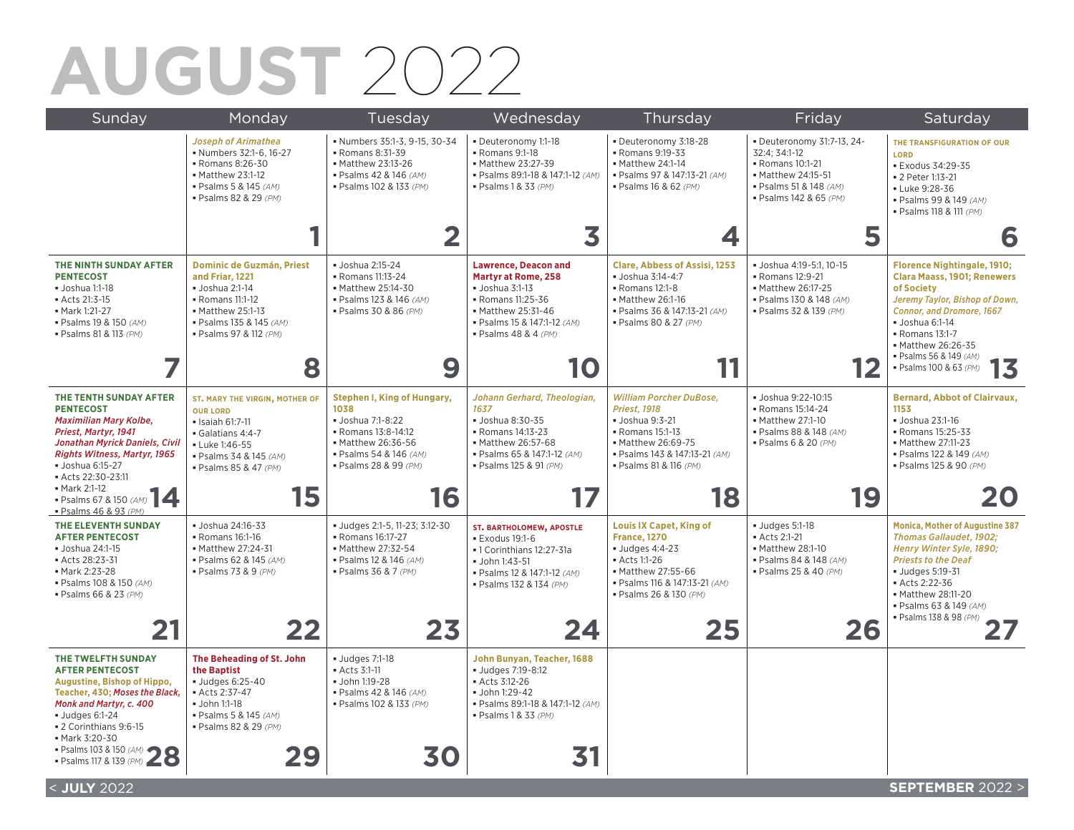#### **AUGUST** 2022

| Sunday                                                                                                                                                                                                                                         | Monday                                                                                                                                                                    | Tuesday                                                                                                                                                  | Wednesday                                                                                                                                                                                                       | Thursday                                                                                                                                                                      | Friday                                                                                                                                    | Saturday                                                                                                                                                                                                                                                                    |
|------------------------------------------------------------------------------------------------------------------------------------------------------------------------------------------------------------------------------------------------|---------------------------------------------------------------------------------------------------------------------------------------------------------------------------|----------------------------------------------------------------------------------------------------------------------------------------------------------|-----------------------------------------------------------------------------------------------------------------------------------------------------------------------------------------------------------------|-------------------------------------------------------------------------------------------------------------------------------------------------------------------------------|-------------------------------------------------------------------------------------------------------------------------------------------|-----------------------------------------------------------------------------------------------------------------------------------------------------------------------------------------------------------------------------------------------------------------------------|
|                                                                                                                                                                                                                                                | <b>Joseph of Arimathea</b><br>• Numbers 32:1-6, 16-27<br>• Romans 8:26-30<br>• Matthew 23:1-12<br>· Psalms 5 & 145 (AM)<br>· Psalms 82 & 29 (PM)                          | · Numbers 35:1-3, 9-15, 30-34<br>- Romans 8:31-39<br>• Matthew 23:13-26<br>· Psalms 42 & 146 (AM)<br>· Psalms 102 & 133 (PM)                             | · Deuteronomy 1:1-18<br>- Romans 9:1-18<br>• Matthew 23:27-39<br>· Psalms 89:1-18 & 147:1-12 (AM)<br>· Psalms 1 & 33 (PM)                                                                                       | Deuteronomy 3:18-28<br>- Romans 9:19-33<br>• Matthew 24:1-14<br>· Psalms 97 & 147:13-21 (AM)<br>· Psalms 16 & 62 (PM)                                                         | - Deuteronomy 31:7-13, 24-<br>32:4; 34:1-12<br>- Romans 10:1-21<br>• Matthew 24:15-51<br>· Psalms 51 & 148 (AM)<br>· Psalms 142 & 65 (PM) | THE TRANSFIGURATION OF OUR<br>LORD<br><b>Exodus 34:29-35</b><br>• 2 Peter 1:13-21<br>- Luke 9:28-36<br>· Psalms 99 & 149 (AM)<br>· Psalms 118 & 111 (PM)                                                                                                                    |
|                                                                                                                                                                                                                                                |                                                                                                                                                                           |                                                                                                                                                          | 3                                                                                                                                                                                                               | 4                                                                                                                                                                             | 5                                                                                                                                         | 6                                                                                                                                                                                                                                                                           |
| THE NINTH SUNDAY AFTER<br><b>PENTECOST</b><br>· Joshua 1:1-18<br>• Acts 21:3-15<br>• Mark 1:21-27<br>· Psalms 19 & 150 (AM)<br>· Psalms 81 & 113 (PM)                                                                                          | <b>Dominic de Guzmán, Priest</b><br>and Friar, 1221<br>· Joshua 2:1-14<br>• Romans 11:1-12<br>• Matthew 25:1-13<br>· Psalms 135 & 145 (AM)<br>· Psalms 97 & 112 (PM)<br>8 | · Joshua 2:15-24<br>• Romans 11:13-24<br>• Matthew 25:14-30<br>· Psalms 123 & 146 (AM)<br>· Psalms 30 & 86 (PM)<br>9                                     | <b>Lawrence, Deacon and</b><br><b>Martyr at Rome, 258</b><br>$\bullet$ Joshua 3:1-13<br>- Romans 11:25-36<br>• Matthew 25:31-46<br>· Psalms 15 & 147:1-12 (AM)<br>$\blacksquare$ Psalms 48 & 4 (PM)<br><b>O</b> | <b>Clare, Abbess of Assisi, 1253</b><br>· Joshua 3:14-4:7<br>• Romans 12:1-8<br>• Matthew 26:1-16<br>· Psalms 36 & 147:13-21 (AM)<br>· Psalms 80 & 27 (PM)                    | · Joshua 4:19-5:1, 10-15<br>• Romans 12:9-21<br>• Matthew 26:17-25<br>· Psalms 130 & 148 (AM)<br>· Psalms 32 & 139 (PM)                   | <b>Florence Nightingale, 1910;</b><br><b>Clara Maass, 1901; Renewers</b><br>of Society<br>Jeremy Taylor, Bishop of Down,<br>Connor, and Dromore, 1667<br>· Joshua 6:1-14<br>• Romans 13:1-7<br>• Matthew 26:26-35<br>· Psalms 56 & 149 (AM)<br>13<br>· Psalms 100 & 63 (PM) |
|                                                                                                                                                                                                                                                |                                                                                                                                                                           |                                                                                                                                                          |                                                                                                                                                                                                                 |                                                                                                                                                                               |                                                                                                                                           |                                                                                                                                                                                                                                                                             |
| THE TENTH SUNDAY AFTER<br><b>PENTECOST</b><br>Maximilian Mary Kolbe,<br>Priest, Martyr, 1941<br>Jonathan Myrick Daniels, Civil<br><b>Rights Witness, Martyr, 1965</b><br>· Joshua 6:15-27<br>Acts 22:30-23:11<br>• Mark 2:1-12                 | ST. MARY THE VIRGIN, MOTHER OF<br><b>OUR LORD</b><br>· Isaiah 61:7-11<br>Galatians 4:4-7<br>- Luke 1:46-55<br>· Psalms 34 & 145 (AM)<br>· Psalms 85 & 47 (PM)             | Stephen I, King of Hungary,<br>1038<br>· Joshua 7:1-8:22<br>- Romans 13:8-14:12<br>• Matthew 26:36-56<br>· Psalms 54 & 146 (AM)<br>· Psalms 28 & 99 (PM) | Johann Gerhard, Theologian,<br>1637<br>· Joshua 8:30-35<br>- Romans 14:13-23<br>• Matthew 26:57-68<br>· Psalms 65 & 147:1-12 (AM)<br>· Psalms 125 & 91 (PM)                                                     | <b>William Porcher DuBose.</b><br><b>Priest, 1918</b><br>· Joshua 9:3-21<br>- Romans 15:1-13<br>• Matthew 26:69-75<br>· Psalms 143 & 147:13-21 (AM)<br>· Psalms 81 & 116 (PM) | • Joshua 9:22-10:15<br>- Romans 15:14-24<br>• Matthew 27:1-10<br>· Psalms 88 & 148 (AM)<br>· Psalms 6 & 20 (PM)                           | <b>Bernard, Abbot of Clairvaux.</b><br>1153<br>· Joshua 23:1-16<br>- Romans 15:25-33<br>• Matthew 27:11-23<br>· Psalms 122 & 149 (AM)<br>· Psalms 125 & 90 (PM)                                                                                                             |
| - Psalms 67 & 150 (AM)<br>· Psalms 46 & 93 (PM)                                                                                                                                                                                                | 15                                                                                                                                                                        | 16                                                                                                                                                       |                                                                                                                                                                                                                 | 18                                                                                                                                                                            | 19                                                                                                                                        | 20                                                                                                                                                                                                                                                                          |
| THE ELEVENTH SUNDAY<br><b>AFTER PENTECOST</b><br>• Joshua 24:1-15<br>Acts 28:23-31<br>• Mark 2:23-28<br>· Psalms 108 & 150 (AM)<br>· Psalms 66 & 23 (PM)                                                                                       | · Joshua 24:16-33<br>- Romans 16:1-16<br>• Matthew 27:24-31<br>· Psalms 62 & 145 (AM)<br>· Psalms 73 & 9 (PM)                                                             | · Judges 2:1-5, 11-23; 3:12-30<br>- Romans 16:17-27<br>• Matthew 27:32-54<br>· Psalms 12 & 146 (AM)<br>· Psalms 36 & 7 (PM)                              | <b>ST. BARTHOLOMEW, APOSTLE</b><br><b>Exodus 19:1-6</b><br>• 1 Corinthians 12:27-31a<br>· John 1:43-51<br>· Psalms 12 & 147:1-12 (AM)<br>· Psalms 132 & 134 (PM)                                                | <b>Louis IX Capet, King of</b><br><b>France, 1270</b><br>$-$ Judges 4:4-23<br>- Acts 1:1-26<br>• Matthew 27:55-66<br>· Psalms 116 & 147:13-21 (AM)<br>· Psalms 26 & 130 (PM)  | $-$ Judges 5:1-18<br>Acts 2:1-21<br>• Matthew 28:1-10<br>· Psalms 84 & 148 (AM)<br>· Psalms 25 & 40 (PM)                                  | <b>Monica, Mother of Augustine 387</b><br><b>Thomas Gallaudet, 1902;</b><br>Henry Winter Syle, 1890:<br><b>Priests to the Deaf</b><br><b>Judges 5:19-31</b><br>Acts 2:22-36<br>• Matthew 28:11-20<br>· Psalms 63 & 149 (AM)                                                 |
|                                                                                                                                                                                                                                                | 22                                                                                                                                                                        | 23                                                                                                                                                       | 24                                                                                                                                                                                                              | 25                                                                                                                                                                            | 26                                                                                                                                        | · Psalms 138 & 98 (PM)                                                                                                                                                                                                                                                      |
| THE TWELFTH SUNDAY<br><b>AFTER PENTECOST</b><br><b>Augustine, Bishop of Hippo,</b><br>Teacher, 430; Moses the Black,<br>Monk and Martyr, c. 400<br><b>Judges 6:1-24</b><br>- 2 Corinthians 9:6-15<br>• Mark 3:20-30<br>· Psalms 103 & 150 (AM) | The Beheading of St. John<br>the Baptist<br>· Judges 6:25-40<br>Acts 2:37-47<br>John 1:1-18<br>· Psalms 5 & 145 (AM)<br>· Psalms 82 & 29 (PM)                             | <b>Judges 7:1-18</b><br>Acts 3:1-11<br>· John 1:19-28<br>· Psalms 42 & 146 (AM)<br>· Psalms 102 & 133 (PM)                                               | John Bunyan, Teacher, 1688<br>Uudges 7:19-8:12<br>Acts 3:12-26<br>· John 1:29-42<br>· Psalms 89:1-18 & 147:1-12 (AM)<br>· Psalms 1 & 33 (PM)                                                                    |                                                                                                                                                                               |                                                                                                                                           |                                                                                                                                                                                                                                                                             |
| • Psalms 117 & 139 (PM) <<br>< JULY 2022                                                                                                                                                                                                       |                                                                                                                                                                           | 30                                                                                                                                                       |                                                                                                                                                                                                                 |                                                                                                                                                                               |                                                                                                                                           | <b>SEPTEMBER 2022 &gt;</b>                                                                                                                                                                                                                                                  |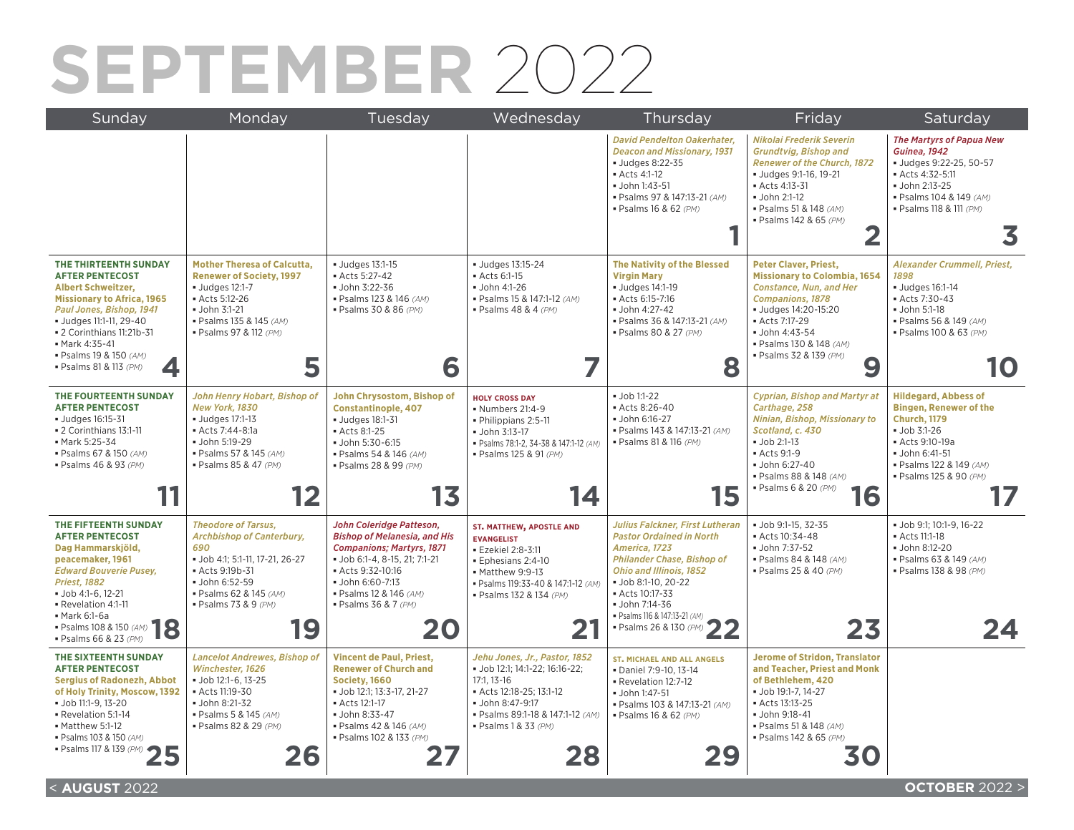### **SEPTEMBER** 2022

| Sunday                                                                                                                                                                                                                                                                           | Monday                                                                                                                                                                                              | Tuesday                                                                                                                                                                                                                             | Wednesday                                                                                                                                                                                     | Thursday                                                                                                                                                                                                                                                                        | Friday                                                                                                                                                                                                                                               | Saturday                                                                                                                                                                                    |
|----------------------------------------------------------------------------------------------------------------------------------------------------------------------------------------------------------------------------------------------------------------------------------|-----------------------------------------------------------------------------------------------------------------------------------------------------------------------------------------------------|-------------------------------------------------------------------------------------------------------------------------------------------------------------------------------------------------------------------------------------|-----------------------------------------------------------------------------------------------------------------------------------------------------------------------------------------------|---------------------------------------------------------------------------------------------------------------------------------------------------------------------------------------------------------------------------------------------------------------------------------|------------------------------------------------------------------------------------------------------------------------------------------------------------------------------------------------------------------------------------------------------|---------------------------------------------------------------------------------------------------------------------------------------------------------------------------------------------|
|                                                                                                                                                                                                                                                                                  |                                                                                                                                                                                                     |                                                                                                                                                                                                                                     |                                                                                                                                                                                               | <b>David Pendelton Oakerhater,</b><br><b>Deacon and Missionary, 1931</b><br>Uudges 8:22-35<br>Acts 4:1-12<br>· John 1:43-51<br>· Psalms 97 & 147:13-21 (AM)<br>· Psalms 16 & 62 (PM)                                                                                            | Nikolai Frederik Severin<br><b>Grundtvig, Bishop and</b><br><b>Renewer of the Church, 1872</b><br>· Judges 9:1-16, 19-21<br>Acts 4:13-31<br>· John 2:1-12<br>· Psalms 51 & 148 (AM)<br>· Psalms 142 & 65 (PM)                                        | <b>The Martyrs of Papua New</b><br><b>Guinea. 1942</b><br>· Judges 9:22-25, 50-57<br>Acts 4:32-5:11<br>· John 2:13-25<br>· Psalms 104 & 149 (AM)<br>· Psalms 118 & 111 (PM)<br>3            |
| THE THIRTEENTH SUNDAY<br><b>AFTER PENTECOST</b><br><b>Albert Schweitzer,</b><br><b>Missionary to Africa, 1965</b><br>Paul Jones, Bishop, 1941<br>· Judges 11:1-11, 29-40<br>• 2 Corinthians 11:21b-31<br>• Mark 4:35-41<br>· Psalms 19 & 150 (AM)<br>· Psalms 81 & 113 (PM)<br>4 | <b>Mother Theresa of Calcutta,</b><br><b>Renewer of Society, 1997</b><br><b>Judges 12:1-7</b><br>Acts 5:12-26<br>• John 3:1-21<br>· Psalms 135 & 145 (AM)<br>· Psalms 97 & 112 (PM)<br>5            | <b>Judges 13:1-15</b><br>Acts 5:27-42<br>John 3:22-36<br>· Psalms 123 & 146 (AM)<br>· Psalms 30 & 86 (PM)<br>6                                                                                                                      | · Judges 13:15-24<br>Acts 6:1-15<br>· John 4:1-26<br>· Psalms 15 & 147:1-12 (AM)<br>· Psalms 48 & 4 (PM)                                                                                      | <b>The Nativity of the Blessed</b><br><b>Virgin Mary</b><br>· Judges 14:1-19<br>Acts 6:15-7:16<br>· John 4:27-42<br>· Psalms 36 & 147:13-21 (AM)<br>· Psalms 80 & 27 (PM)<br>8                                                                                                  | <b>Peter Claver, Priest,</b><br><b>Missionary to Colombia, 1654</b><br><b>Constance, Nun, and Her</b><br><b>Companions, 1878</b><br>· Judges 14:20-15:20<br>Acts 7:17-29<br>· John 4:43-54<br>· Psalms 130 & 148 (AM)<br>· Psalms 32 & 139 (PM)<br>9 | Alexander Crummell, Priest,<br>1898<br><b>Judges 16:1-14</b><br>Acts 7:30-43<br>John 5:1-18<br>· Psalms 56 & 149 (AM)<br>· Psalms 100 & 63 (PM)<br>10                                       |
| THE FOURTEENTH SUNDAY<br><b>AFTER PENTECOST</b><br>· Judges 16:15-31<br>• 2 Corinthians 13:1-11<br>- Mark 5:25-34<br>· Psalms 67 & 150 (AM)<br>· Psalms 46 & 93 (PM)                                                                                                             | John Henry Hobart, Bishop of<br>New York, 1830<br><b>Judges 17:1-13</b><br>Acts 7:44-8:1a<br>· John 5:19-29<br>· Psalms 57 & 145 (AM)<br>· Psalms 85 & 47 (PM)<br>12                                | John Chrysostom, Bishop of<br><b>Constantinople, 407</b><br><b>Judges 18:1-31</b><br>Acts 8:1-25<br>John 5:30-6:15<br>· Psalms 54 & 146 (AM)<br>· Psalms 28 & 99 (PM)<br>13                                                         | <b>HOLY CROSS DAY</b><br>• Numbers 21:4-9<br>· Philippians 2:5-11<br>· John 3:13-17<br>· Psalms 78:1-2, 34-38 & 147:1-12 (AM)<br>· Psalms 125 & 91 (PM)<br>14                                 | $\bullet$ Job 1:1-22<br>Acts 8:26-40<br>· John 6:16-27<br>· Psalms 143 & 147:13-21 (AM)<br>· Psalms 81 & 116 (PM)<br>15                                                                                                                                                         | <b>Cyprian, Bishop and Martyr at</b><br>Carthage, 258<br>Ninian, Bishop, Missionary to<br>Scotland, c. 430<br>$-$ Job 2:1-13<br>Acts 9:1-9<br>• John 6:27-40<br>· Psalms 88 & 148 (AM)<br>· Psalms 6 & 20 (PM)<br>16                                 | <b>Hildegard, Abbess of</b><br><b>Bingen, Renewer of the</b><br><b>Church, 1179</b><br>$Job$ 3:1-26<br>Acts 9:10-19a<br>· John 6:41-51<br>· Psalms 122 & 149 (AM)<br>· Psalms 125 & 90 (PM) |
| THE FIFTEENTH SUNDAY<br><b>AFTER PENTECOST</b><br>Dag Hammarskjöld,<br>peacemaker, 1961<br><b>Edward Bouverie Pusey,</b><br><b>Priest, 1882</b><br>· Job 4:1-6, 12-21<br>Revelation 4:1-11<br>• Mark 6:1-6a<br>18<br>· Psalms 108 & 150 (AM)<br>· Psalms 66 & 23 (PM)            | <b>Theodore of Tarsus.</b><br><b>Archbishop of Canterbury,</b><br>690<br>• Job 4:1; 5:1-11, 17-21, 26-27<br>Acts 9:19b-31<br>• John 6:52-59<br>· Psalms 62 & 145 (AM)<br>· Psalms 73 & 9 (PM)<br>19 | John Coleridge Patteson.<br><b>Bishop of Melanesia, and His</b><br><b>Companions; Martyrs, 1871</b><br>• Job 6:1-4, 8-15, 21; 7:1-21<br>Acts 9:32-10:16<br>· John 6:60-7:13<br>· Psalms 12 & 146 (AM)<br>· Psalms 36 & 7 (PM)<br>20 | <b>ST. MATTHEW, APOSTLE AND</b><br><b>EVANGELIST</b><br>· Ezekiel 2:8-3:11<br>· Ephesians 2:4-10<br>• Matthew 9:9-13<br>· Psalms 119:33-40 & 147:1-12 (AM)<br>· Psalms 132 & 134 (PM)         | <b>Julius Falckner, First Lutheran</b><br><b>Pastor Ordained in North</b><br>America, 1723<br><b>Philander Chase, Bishop of</b><br>Ohio and Illinois, 1852<br>· Job 8:1-10, 20-22<br>Acts 10:17-33<br>• John 7:14-36<br>· Psalms 116 & 147:13-21 (AM)<br>· Psalms 26 & 130 (PM) | $-$ Job 9:1-15, 32-35<br>Acts 10:34-48<br>- John 7:37-52<br>· Psalms 84 & 148 (AM)<br>· Psalms 25 & 40 (PM)<br>23                                                                                                                                    | • Job 9:1: 10:1-9. 16-22<br>Acts 11:1-18<br>· John 8:12-20<br>· Psalms 63 & 149 (AM)<br>· Psalms 138 & 98 (PM)<br>24                                                                        |
| THE SIXTEENTH SUNDAY<br><b>AFTER PENTECOST</b><br><b>Sergius of Radonezh, Abbot</b><br>of Holy Trinity, Moscow, 1392<br>• Job 11:1-9, 13-20<br>Revelation 5:1-14<br>Matthew 5:1-12<br>· Psalms 103 & 150 (AM)<br>• Psalms 117 & 139 (PM)                                         | <b>Lancelot Andrewes, Bishop of</b><br>Winchester, 1626<br>$\bullet$ Job 12:1-6. 13-25<br>Acts 11:19-30<br>• John 8:21-32<br>· Psalms 5 & 145 (AM)<br>· Psalms 82 & 29 (PM)<br>26                   | <b>Vincent de Paul, Priest,</b><br><b>Renewer of Church and</b><br>Society, 1660<br>· Job 12:1: 13:3-17. 21-27<br>Acts 12:1-17<br>· John 8:33-47<br>· Psalms 42 & 146 (AM)<br>· Psalms 102 & 133 (PM)                               | Jehu Jones, Jr., Pastor, 1852<br>· Job 12:1; 14:1-22; 16:16-22;<br>17:1.13-16<br>Acts 12:18-25: 13:1-12<br>· John 8:47-9:17<br>· Psalms 89:1-18 & 147:1-12 (AM)<br>· Psalms 1 & 33 (PM)<br>28 | <b>ST. MICHAEL AND ALL ANGELS</b><br>· Daniel 7:9-10, 13-14<br>Revelation 12:7-12<br>· John 1:47-51<br>· Psalms 103 & 147:13-21 (AM)<br>· Psalms 16 & 62 (PM)<br>29                                                                                                             | <b>Jerome of Stridon, Translator</b><br>and Teacher, Priest and Monk<br>of Bethlehem. 420<br>• Job 19:1-7, 14-27<br>Acts 13:13-25<br>· John 9:18-41<br>· Psalms 51 & 148 (AM)<br>· Psalms 142 & 65 (PM)<br>50                                        |                                                                                                                                                                                             |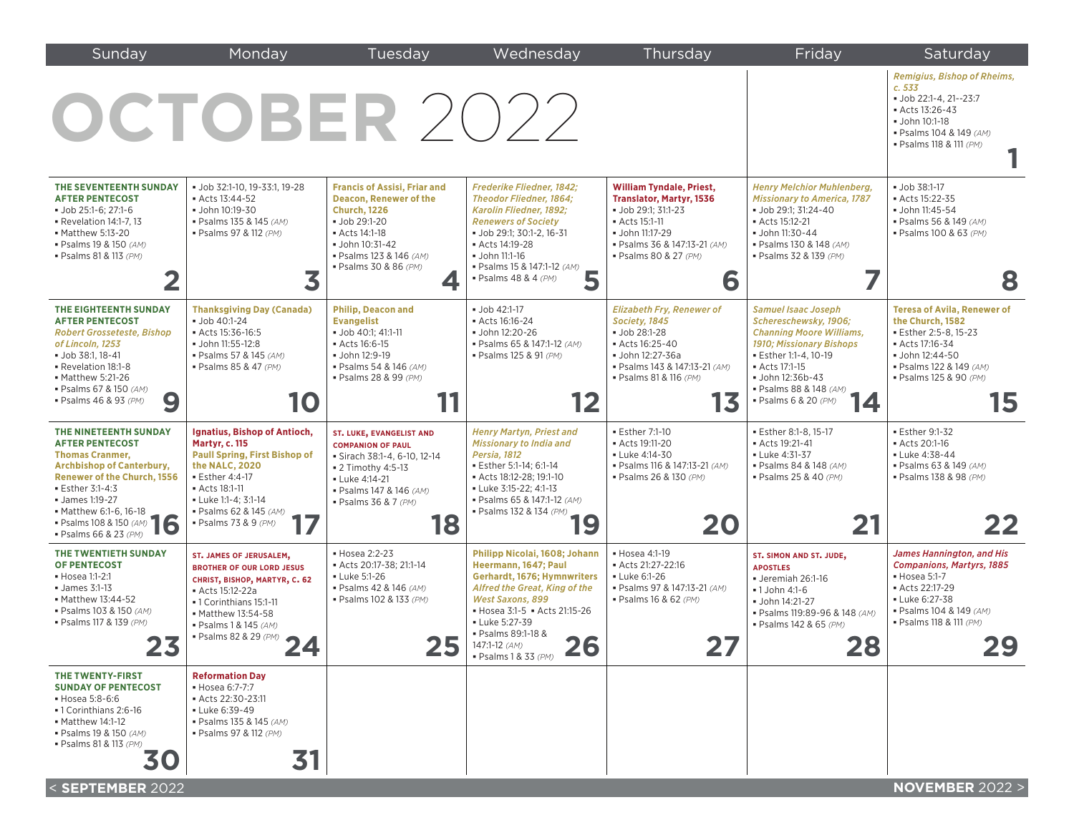| Sunday                                                                                                                                                                                                                                                                        | Monday                                                                                                                                                                                                                              | Tuesday                                                                                                                                                                                                | Wednesday                                                                                                                                                                                                                                                                | Thursday                                                                                                                                                                                   | Friday                                                                                                                                                                                                                          | Saturday                                                                                                                                                                              |
|-------------------------------------------------------------------------------------------------------------------------------------------------------------------------------------------------------------------------------------------------------------------------------|-------------------------------------------------------------------------------------------------------------------------------------------------------------------------------------------------------------------------------------|--------------------------------------------------------------------------------------------------------------------------------------------------------------------------------------------------------|--------------------------------------------------------------------------------------------------------------------------------------------------------------------------------------------------------------------------------------------------------------------------|--------------------------------------------------------------------------------------------------------------------------------------------------------------------------------------------|---------------------------------------------------------------------------------------------------------------------------------------------------------------------------------------------------------------------------------|---------------------------------------------------------------------------------------------------------------------------------------------------------------------------------------|
|                                                                                                                                                                                                                                                                               | OCTOBER 2022                                                                                                                                                                                                                        |                                                                                                                                                                                                        |                                                                                                                                                                                                                                                                          |                                                                                                                                                                                            |                                                                                                                                                                                                                                 | <b>Remigius, Bishop of Rheims,</b><br>c.533<br>· Job 22:1-4, 21--23:7<br>Acts 13:26-43<br>John 10:1-18<br>· Psalms 104 & 149 (AM)<br>· Psalms 118 & 111 (PM)                          |
| THE SEVENTEENTH SUNDAY<br><b>AFTER PENTECOST</b><br>• Job 25:1-6; 27:1-6<br>• Revelation 14:1-7, 13<br>• Matthew 5:13-20<br>· Psalms 19 & 150 (AM)<br>· Psalms 81 & 113 (PM)                                                                                                  | · Job 32:1-10, 19-33:1, 19-28<br>Acts 13:44-52<br>· John 10:19-30<br>· Psalms 135 & 145 (AM)<br>· Psalms 97 & 112 (PM)<br>3                                                                                                         | <b>Francis of Assisi, Friar and</b><br><b>Deacon, Renewer of the</b><br><b>Church, 1226</b><br>Job 29:1-20<br>Acts 14:1-18<br>· John 10:31-42<br>· Psalms 123 & 146 (AM)<br>· Psalms 30 & 86 (PM)<br>4 | Frederike Fliedner, 1842;<br><b>Theodor Fliedner, 1864;</b><br>Karolin Fliedner, 1892;<br><b>Renewers of Society</b><br>• Job 29:1; 30:1-2, 16-31<br>Acts 14:19-28<br>John 11:1-16<br>• Psalms 15 & 147:1-12 (AM)<br>5<br>$\bullet$ Psalms 48 & 4 (PM)                   | <b>William Tyndale, Priest,</b><br><b>Translator, Martyr, 1536</b><br>• Job 29:1; 31:1-23<br>Acts 15:1-11<br>· John 11:17-29<br>· Psalms 36 & 147:13-21 (AM)<br>· Psalms 80 & 27 (PM)<br>6 | <b>Henry Melchior Muhlenberg,</b><br><b>Missionary to America, 1787</b><br>• Job 29:1; 31:24-40<br>Acts 15:12-21<br>· John 11:30-44<br>· Psalms 130 & 148 (AM)<br>· Psalms 32 & 139 (PM)                                        | <b>Job 38:1-17</b><br>Acts 15:22-35<br>· John 11:45-54<br>· Psalms 56 & 149 (AM)<br>· Psalms 100 & 63 (PM)<br>8                                                                       |
| THE EIGHTEENTH SUNDAY<br><b>AFTER PENTECOST</b><br><b>Robert Grosseteste, Bishop</b><br>of Lincoln, 1253<br><b>Job 38:1, 18-41</b><br>Revelation 18:1-8<br>• Matthew 5:21-26<br>· Psalms 67 & 150 (AM)<br>9<br>· Psalms 46 & 93 (PM)                                          | <b>Thanksgiving Day (Canada)</b><br>· Job 40:1-24<br>Acts 15:36-16:5<br>John 11:55-12:8<br>· Psalms 57 & 145 (AM)<br>· Psalms 85 & 47 (PM)<br>10                                                                                    | <b>Philip, Deacon and</b><br><b>Evangelist</b><br>· Job 40:1: 41:1-11<br>Acts 16:6-15<br>· John 12:9-19<br>· Psalms 54 & 146 (AM)<br>· Psalms 28 & 99 (PM)                                             | · Job 42:1-17<br>Acts 16:16-24<br>John 12:20-26<br>• Psalms 65 & 147:1-12 (AM)<br>· Psalms 125 & 91 (PM)                                                                                                                                                                 | <b>Elizabeth Fry, Renewer of</b><br>Society, 1845<br>Job 28:1-28<br>Acts 16:25-40<br>· John 12:27-36a<br>· Psalms 143 & 147:13-21 (AM)<br>· Psalms 81 & 116 (PM)<br>13                     | <b>Samuel Isaac Joseph</b><br>Schereschewsky, 1906;<br><b>Channing Moore Williams,</b><br>1910; Missionary Bishops<br>· Esther 1:1-4, 10-19<br>Acts 17:1-15<br>John 12:36b-43<br>· Psalms 88 & 148 (AM)<br>· Psalms 6 & 20 (PM) | <b>Teresa of Avila, Renewer of</b><br>the Church, 1582<br><b>Esther 2:5-8, 15-23</b><br>- Acts 17:16-34<br>· John 12:44-50<br>· Psalms 122 & 149 (AM)<br>· Psalms 125 & 90 (PM)<br>15 |
| THE NINETEENTH SUNDAY<br><b>AFTER PENTECOST</b><br><b>Thomas Cranmer,</b><br><b>Archbishop of Canterbury,</b><br><b>Renewer of the Church, 1556</b><br><b>Esther 3:1-4:3</b><br>• James 1:19-27<br>• Matthew 6:1-6, 16-18<br>• Psalms 108 & 150 (AM)<br>· Psalms 66 & 23 (PM) | Ignatius, Bishop of Antioch,<br><b>Martyr, c. 115</b><br><b>Paull Spring, First Bishop of</b><br>the NALC, 2020<br><b>Esther 4:4-17</b><br>• Acts 18:1-11<br>• Luke 1:1-4; 3:1-14<br>· Psalms 62 & 145 (AM)<br>· Psalms 73 & 9 (PM) | <b>ST. LUKE, EVANGELIST AND</b><br><b>COMPANION OF PAUL</b><br>· Sirach 38:1-4, 6-10, 12-14<br>• 2 Timothy 4:5-13<br><b>- Luke 4:14-21</b><br>· Psalms 147 & 146 (AM)<br>· Psalms 36 & 7 (PM)<br>18    | <b>Henry Martyn, Priest and</b><br>Missionary to India and<br><b>Persia, 1812</b><br>· Esther 5:1-14; 6:1-14<br>Acts 18:12-28; 19:1-10<br>• Luke 3:15-22; 4:1-13<br>· Psalms 65 & 147:1-12 (AM)<br>• Psalms 132 & 134 (PM)                                               | <b>Esther 7:1-10</b><br>Acts 19:11-20<br>- Luke 4:14-30<br>· Psalms 116 & 147:13-21 (AM)<br>· Psalms 26 & 130 (PM)<br>20                                                                   | · Esther 8:1-8, 15-17<br>Acts 19:21-41<br>- Luke 4:31-37<br>· Psalms 84 & 148 (AM)<br>· Psalms 25 & 40 (PM)<br>21                                                                                                               | <b>Esther 9:1-32</b><br>Acts 20:1-16<br>- Luke 4:38-44<br>· Psalms 63 & 149 (AM)<br>· Psalms 138 & 98 (PM)<br>22                                                                      |
| THE TWENTIETH SUNDAY<br><b>OF PENTECOST</b><br>• Hosea 1:1-2:1<br>$\blacksquare$ James 3:1-13<br>• Matthew 13:44-52<br>· Psalms 103 & 150 (AM)<br>· Psalms 117 & 139 (PM)<br>4 J                                                                                              | ST. JAMES OF JERUSALEM,<br><b>BROTHER OF OUR LORD JESUS</b><br>CHRIST, BISHOP, MARTYR, C. 62<br>Acts 15:12-22a<br>-1 Corinthians 15:1-11<br>• Matthew 13:54-58<br>· Psalms 1 & 145 (AM)<br>• Psalms 82 & 29 (PM)<br>∠−г             | • Hosea 2:2-23<br>Acts 20:17-38; 21:1-14<br><b>- Luke 5:1-26</b><br>· Psalms 42 & 146 (AM)<br>· Psalms 102 & 133 (PM)<br><b>40</b>                                                                     | Philipp Nicolai, 1608; Johann<br>Heermann, 1647; Paul<br>Gerhardt, 1676; Hymnwriters<br>Alfred the Great, King of the<br><b>West Saxons, 899</b><br>• Hosea 3:1-5 • Acts 21:15-26<br>• Luke 5:27-39<br>· Psalms 89:1-18 &<br>26<br>147:1-12 (AM)<br>• Psalms 1 & 33 (PM) | • Hosea 4:1-19<br>Acts 21:27-22:16<br><b>- Luke 6:1-26</b><br>· Psalms 97 & 147:13-21 (AM)<br>· Psalms 16 & 62 (PM)<br>47                                                                  | ST. SIMON AND ST. JUDE,<br><b>APOSTLES</b><br>Ueremiah 26:1-16<br>$-1$ John 4:1-6<br>· John 14:21-27<br>· Psalms 119:89-96 & 148 (AM)<br>· Psalms 142 & 65 (PM)<br>22<br>ZU                                                     | James Hannington, and His<br><b>Companions, Martyrs, 1885</b><br>• Hosea 5:1-7<br>Acts 22:17-29<br>• Luke 6:27-38<br>· Psalms 104 & 149 (AM)<br>• Psalms 118 & 111 (PM)<br>29         |
| THE TWENTY-FIRST<br><b>SUNDAY OF PENTECOST</b><br>• Hosea 5:8-6:6<br>•1 Corinthians 2:6-16<br>• Matthew 14:1-12<br>· Psalms 19 & 150 (AM)<br>· Psalms 81 & 113 (PM)<br>30<br>< SEPTEMBER 2022                                                                                 | <b>Reformation Day</b><br>• Hosea 6:7-7:7<br>Acts 22:30-23:11<br>Luke 6:39-49<br>· Psalms 135 & 145 (AM)<br>· Psalms 97 & 112 (PM)<br>31                                                                                            |                                                                                                                                                                                                        |                                                                                                                                                                                                                                                                          |                                                                                                                                                                                            |                                                                                                                                                                                                                                 | <b>NOVEMBER 2022 &gt;</b>                                                                                                                                                             |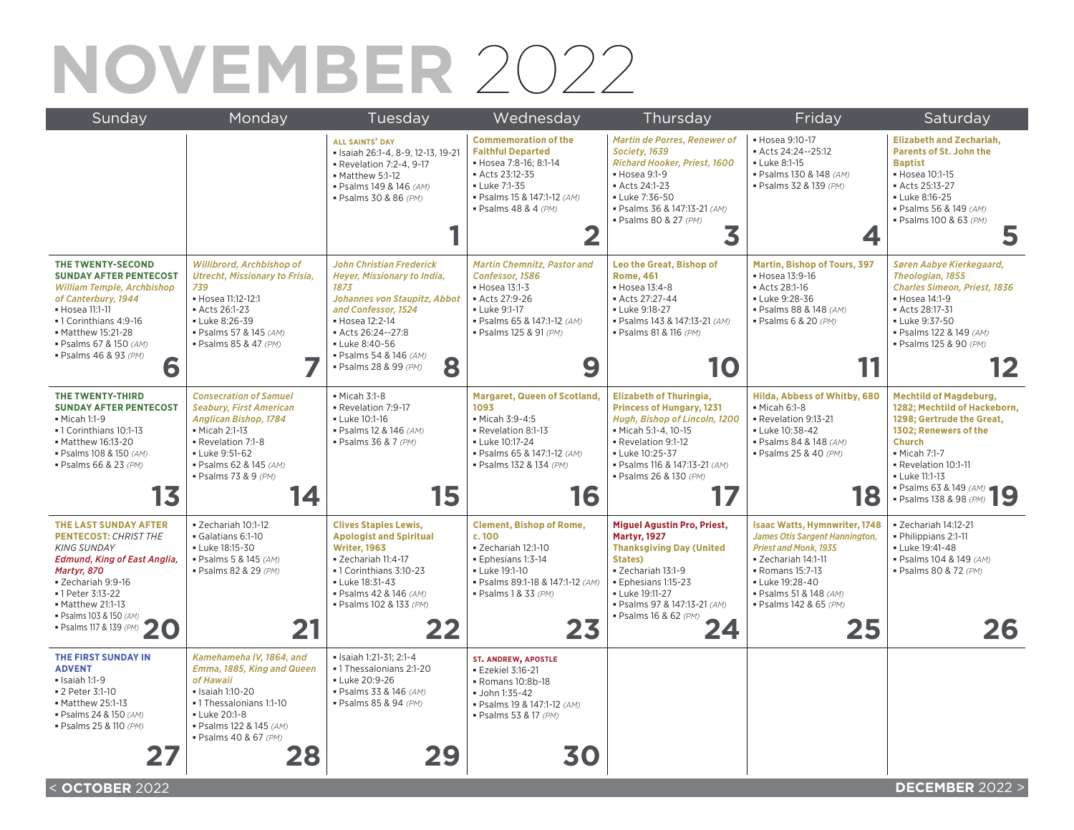# **NOVEMBER** 2022

| Sunday                                                                                                                                                                                                                                                                | Monday                                                                                                                                                                                                          | Tuesday                                                                                                                                                                                                                                        | Wednesday                                                                                                                                                                              | Thursday                                                                                                                                                                                                                               | Friday                                                                                                                                                                                                                       | Saturday                                                                                                                                                                                                                                          |
|-----------------------------------------------------------------------------------------------------------------------------------------------------------------------------------------------------------------------------------------------------------------------|-----------------------------------------------------------------------------------------------------------------------------------------------------------------------------------------------------------------|------------------------------------------------------------------------------------------------------------------------------------------------------------------------------------------------------------------------------------------------|----------------------------------------------------------------------------------------------------------------------------------------------------------------------------------------|----------------------------------------------------------------------------------------------------------------------------------------------------------------------------------------------------------------------------------------|------------------------------------------------------------------------------------------------------------------------------------------------------------------------------------------------------------------------------|---------------------------------------------------------------------------------------------------------------------------------------------------------------------------------------------------------------------------------------------------|
|                                                                                                                                                                                                                                                                       |                                                                                                                                                                                                                 | <b>ALL SAINTS' DAY</b><br>· Isaiah 26:1-4, 8-9, 12-13, 19-21<br>- Revelation 7:2-4, 9-17<br>Matthew 5:1-12<br>· Psalms 149 & 146 (AM)<br>· Psalms 30 & 86 (PM)                                                                                 | <b>Commemoration of the</b><br><b>Faithful Departed</b><br>• Hosea 7:8-16; 8:1-14<br>Acts 23:12-35<br>- Luke 7:1-35<br>· Psalms 15 & 147:1-12 (AM)<br>· Psalms 48 & 4 (PM)<br>2        | Martin de Porres, Renewer of<br>Society, 1639<br>Richard Hooker, Priest, 1600<br>• Hosea 9:1-9<br>Acts 24:1-23<br>- Luke 7:36-50<br>· Psalms 36 & 147:13-21 (AM)<br>· Psalms 80 & 27 (PM)<br>3                                         | • Hosea 9:10-17<br>Acts 24:24--25:12<br>- Luke 8:1-15<br>· Psalms 130 & 148 (AM)<br>· Psalms 32 & 139 (PM)<br>4                                                                                                              | <b>Elizabeth and Zechariah,</b><br><b>Parents of St. John the</b><br><b>Baptist</b><br>• Hosea 10:1-15<br>Acts 25:13-27<br>- Luke 8:16-25<br>· Psalms 56 & 149 (AM)<br>· Psalms 100 & 63 (PM)<br>5                                                |
| THE TWENTY-SECOND<br><b>SUNDAY AFTER PENTECOST</b><br><b>William Temple, Archbishop</b><br>of Canterbury, 1944<br>• Hosea 11:1-11<br>-1 Corinthians 4:9-16<br>• Matthew 15:21-28<br>· Psalms 67 & 150 (AM)<br>· Psalms 46 & 93 (PM)<br>6                              | Willibrord, Archbishop of<br><b>Utrecht, Missionary to Frisia,</b><br>739<br>• Hosea 11:12-12:1<br>Acts 26:1-23<br>- Luke 8:26-39<br>· Psalms 57 & 145 (AM)<br>· Psalms 85 & 47 (PM)                            | <b>John Christian Frederick</b><br>Heyer, Missionary to India,<br>1873<br>Johannes von Staupitz, Abbot<br>and Confessor, 1524<br>• Hosea 12:2-14<br>Acts 26:24--27:8<br>- Luke 8:40-56<br>· Psalms 54 & 146 (AM)<br>8<br>· Psalms 28 & 99 (PM) | <b>Martin Chemnitz, Pastor and</b><br>Confessor, 1586<br>• Hosea 13:1-3<br>Acts 27:9-26<br>- Luke 9:1-17<br>· Psalms 65 & 147:1-12 (AM)<br>· Psalms 125 & 91 (PM)<br>9                 | Leo the Great, Bishop of<br><b>Rome, 461</b><br>• Hosea 13:4-8<br>Acts 27:27-44<br>- Luke 9:18-27<br>· Psalms 143 & 147:13-21 (AM)<br>· Psalms 81 & 116 (PM)<br>10                                                                     | <b>Martin, Bishop of Tours, 397</b><br>• Hosea 13:9-16<br>Acts 28:1-16<br>- Luke 9:28-36<br>· Psalms 88 & 148 (AM)<br>· Psalms 6 & 20 (PM)                                                                                   | Søren Aabye Kierkegaard,<br>Theologian, 1855<br><b>Charles Simeon, Priest, 1836</b><br>• Hosea 14:1-9<br>Acts 28:17-31<br>- Luke 9:37-50<br>· Psalms 122 & 149 (AM)<br>· Psalms 125 & 90 (PM)<br>12                                               |
| THE TWENTY-THIRD<br><b>SUNDAY AFTER PENTECOST</b><br>• Micah 1:1-9<br>• 1 Corinthians 10:1-13<br>• Matthew 16:13-20<br>· Psalms 108 & 150 (AM)<br>· Psalms 66 & 23 (PM)<br>13                                                                                         | <b>Consecration of Samuel</b><br><b>Seabury, First American</b><br><b>Anglican Bishop, 1784</b><br>• Micah 2:1-13<br>Revelation 7:1-8<br>• Luke 9:51-62<br>· Psalms 62 & 145 (AM)<br>· Psalms 73 & 9 (PM)<br>14 | • Micah 3:1-8<br>Revelation 7:9-17<br><b>- Luke 10:1-16</b><br>· Psalms 12 & 146 (AM)<br>· Psalms 36 & 7 (PM)<br>15                                                                                                                            | <b>Margaret, Queen of Scotland,</b><br>1093<br>• Micah 3:9-4:5<br>Revelation 8:1-13<br>- Luke 10:17-24<br>• Psalms 65 & 147:1-12 (AM)<br>· Psalms 132 & 134 (PM)<br>16                 | <b>Elizabeth of Thuringia,</b><br><b>Princess of Hungary, 1231</b><br>Hugh, Bishop of Lincoln, 1200<br>· Micah 5:1-4, 10-15<br>Revelation 9:1-12<br>- Luke 10:25-37<br>· Psalms 116 & 147:13-21 (AM)<br>· Psalms 26 & 130 (PM)         | Hilda, Abbess of Whitby, 680<br>• Micah 6:1-8<br>- Revelation 9:13-21<br>- Luke 10:38-42<br>· Psalms 84 & 148 (AM)<br>· Psalms 25 & 40 (PM)<br>18                                                                            | <b>Mechtild of Magdeburg,</b><br>1282; Mechtild of Hackeborn,<br>1298; Gertrude the Great,<br>1302: Renewers of the<br><b>Church</b><br>• Micah 7:1-7<br>Revelation 10:1-11<br>• Luke 11:1-13<br>• Psalms 63 & 149 (AM)<br>• Psalms 138 & 98 (PM) |
| THE LAST SUNDAY AFTER<br><b>PENTECOST: CHRIST THE</b><br><b>KING SUNDAY</b><br><b>Edmund, King of East Anglia,</b><br>Martyr, 870<br>- Zechariah 9:9-16<br>•1 Peter 3:13-22<br>• Matthew 21:1-13<br>· Psalms 103 & 150 (AM)<br>· Psalms 117 & 139 (PM)<br>$\mathbf C$ | - Zechariah 10:1-12<br>Galatians 6:1-10<br>- Luke 18:15-30<br>· Psalms 5 & 145 (AM)<br>· Psalms 82 & 29 (PM)<br>21                                                                                              | <b>Clives Staples Lewis,</b><br><b>Apologist and Spiritual</b><br><b>Writer, 1963</b><br>- Zechariah 11:4-17<br>• 1 Corinthians 3:10-23<br>- Luke 18:31-43<br>· Psalms 42 & 146 (AM)<br>· Psalms 102 & 133 (PM)<br>22                          | <b>Clement, Bishop of Rome,</b><br>c.100<br>· Zechariah 12:1-10<br>· Ephesians 1:3-14<br>- Luke 19:1-10<br>· Psalms 89:1-18 & 147:1-12 (AM)<br>$\blacksquare$ Psalms 1 & 33 (PM)<br>23 | <b>Miguel Agustin Pro, Priest,</b><br><b>Martyr, 1927</b><br><b>Thanksgiving Day (United</b><br>States)<br>· Zechariah 13:1-9<br>· Ephesians 1:15-23<br>• Luke 19:11-27<br>· Psalms 97 & 147:13-21 (AM)<br>· Psalms 16 & 62 (PM)<br>24 | <b>Isaac Watts, Hymnwriter, 1748</b><br>James Otis Sargent Hannington,<br><b>Priest and Monk. 1935</b><br>· Zechariah 14:1-11<br>• Romans 15:7-13<br>Luke 19:28-40<br>· Psalms 51 & 148 (AM)<br>· Psalms 142 & 65 (PM)<br>25 | · Zechariah 14:12-21<br>• Philippians 2:1-11<br>- Luke 19:41-48<br>· Psalms 104 & 149 (AM)<br>· Psalms 80 & 72 (PM)<br>26                                                                                                                         |
| THE FIRST SUNDAY IN<br><b>ADVENT</b><br>$\blacksquare$ Isaiah 1:1-9<br>■ 2 Peter 3:1-10<br>• Matthew 25:1-13<br>· Psalms 24 & 150 (AM)<br>· Psalms 25 & 110 (PM)<br>27                                                                                                | Kamehameha IV, 1864, and<br>Emma, 1885, King and Queen<br>of Hawaii<br>• Isaiah 1:10-20<br>• 1 Thessalonians 1:1-10<br><b>- Luke 20:1-8</b><br>· Psalms 122 & 145 (AM)<br>· Psalms 40 & 67 (PM)<br>28           | · Isaiah 1:21-31; 2:1-4<br>•1 Thessalonians 2:1-20<br>- Luke 20:9-26<br>· Psalms 33 & 146 (AM)<br>· Psalms 85 & 94 (PM)<br>29                                                                                                                  | <b>ST. ANDREW, APOSTLE</b><br><b>Ezekiel 3:16-21</b><br>- Romans 10:8b-18<br>· John 1:35-42<br>· Psalms 19 & 147:1-12 (AM)<br>· Psalms 53 & 17 (PM)<br>30                              |                                                                                                                                                                                                                                        |                                                                                                                                                                                                                              |                                                                                                                                                                                                                                                   |
| < OCTOBER 2022                                                                                                                                                                                                                                                        |                                                                                                                                                                                                                 |                                                                                                                                                                                                                                                |                                                                                                                                                                                        |                                                                                                                                                                                                                                        |                                                                                                                                                                                                                              | <b>DECEMBER 2022 &gt;</b>                                                                                                                                                                                                                         |